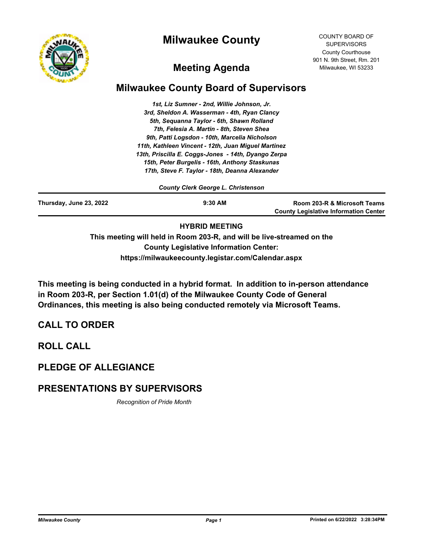



COUNTY BOARD OF **SUPERVISORS** County Courthouse 901 N. 9th Street, Rm. 201 Milwaukee, WI 53233

# **Meeting Agenda**

# **Milwaukee County Board of Supervisors**

*1st, Liz Sumner - 2nd, Willie Johnson, Jr. 3rd, Sheldon A. Wasserman - 4th, Ryan Clancy 5th, Sequanna Taylor - 6th, Shawn Rolland 7th, Felesia A. Martin - 8th, Steven Shea 9th, Patti Logsdon - 10th, Marcelia Nicholson 11th, Kathleen Vincent - 12th, Juan Miguel Martinez 13th, Priscilla E. Coggs-Jones - 14th, Dyango Zerpa 15th, Peter Burgelis - 16th, Anthony Staskunas 17th, Steve F. Taylor - 18th, Deanna Alexander*

*County Clerk George L. Christenson*

| Thursday, June 23, 2022 | $9:30$ AM                           | Room 203-R & Microsoft Teams<br><b>County Legislative Information Center</b> |
|-------------------------|-------------------------------------|------------------------------------------------------------------------------|
|                         | .  .= = .=   - = = = = <del>.</del> |                                                                              |

### **HYBRID MEETING**

**This meeting will held in Room 203-R, and will be live-streamed on the County Legislative Information Center: https://milwaukeecounty.legistar.com/Calendar.aspx**

**This meeting is being conducted in a hybrid format. In addition to in-person attendance in Room 203-R, per Section 1.01(d) of the Milwaukee County Code of General Ordinances, this meeting is also being conducted remotely via Microsoft Teams.**

# **CALL TO ORDER**

**ROLL CALL**

# **PLEDGE OF ALLEGIANCE**

# **PRESENTATIONS BY SUPERVISORS**

*Recognition of Pride Month*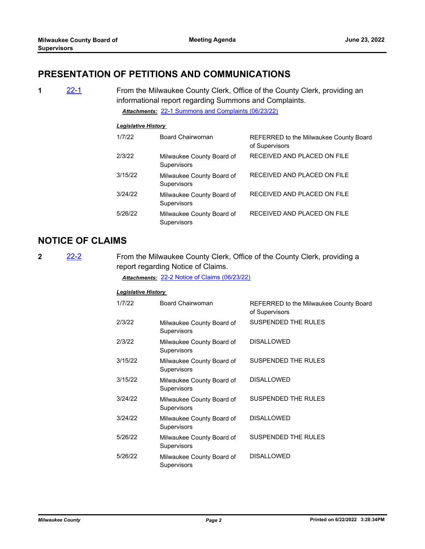## **PRESENTATION OF PETITIONS AND COMMUNICATIONS**

**1** [22-1](http://milwaukeecounty.legistar.com/gateway.aspx?m=l&id=/matter.aspx?key=11823) From the Milwaukee County Clerk, Office of the County Clerk, providing an informational report regarding Summons and Complaints. *Attachments:* [22-1 Summons and Complaints \(06/23/22\)](http://MilwaukeeCounty.legistar.com/gateway.aspx?M=F&ID=77bc3c0b-fcc7-4011-b821-b1a8e4355030.pdf)

#### *Legislative History*

| 1/7/22  | Board Chairwoman                                | REFERRED to the Milwaukee County Board<br>of Supervisors |
|---------|-------------------------------------------------|----------------------------------------------------------|
| 2/3/22  | Milwaukee County Board of<br><b>Supervisors</b> | RECEIVED AND PLACED ON FILE                              |
| 3/15/22 | Milwaukee County Board of<br><b>Supervisors</b> | RECEIVED AND PLACED ON FILE                              |
| 3/24/22 | Milwaukee County Board of<br><b>Supervisors</b> | RECEIVED AND PLACED ON FILE                              |
| 5/26/22 | Milwaukee County Board of<br><b>Supervisors</b> | RECEIVED AND PLACED ON FILE                              |

## **NOTICE OF CLAIMS**

**2** [22-2](http://milwaukeecounty.legistar.com/gateway.aspx?m=l&id=/matter.aspx?key=11824) From the Milwaukee County Clerk, Office of the County Clerk, providing a report regarding Notice of Claims.

*Attachments:* [22-2 Notice of Claims \(06/23/22\)](http://MilwaukeeCounty.legistar.com/gateway.aspx?M=F&ID=7acfedfe-4ab9-4ee9-a792-f88fdee90528.pdf)

| 1/7/22  | Board Chairwoman                         | REFERRED to the Milwaukee County Board<br>of Supervisors |
|---------|------------------------------------------|----------------------------------------------------------|
| 2/3/22  | Milwaukee County Board of<br>Supervisors | <b>SUSPENDED THE RULES</b>                               |
| 2/3/22  | Milwaukee County Board of<br>Supervisors | <b>DISALLOWED</b>                                        |
| 3/15/22 | Milwaukee County Board of<br>Supervisors | SUSPENDED THE RULES                                      |
| 3/15/22 | Milwaukee County Board of<br>Supervisors | <b>DISALLOWED</b>                                        |
| 3/24/22 | Milwaukee County Board of<br>Supervisors | SUSPENDED THE RULES                                      |
| 3/24/22 | Milwaukee County Board of<br>Supervisors | <b>DISALLOWED</b>                                        |
| 5/26/22 | Milwaukee County Board of<br>Supervisors | SUSPENDED THE RULES                                      |
| 5/26/22 | Milwaukee County Board of<br>Supervisors | <b>DISALLOWED</b>                                        |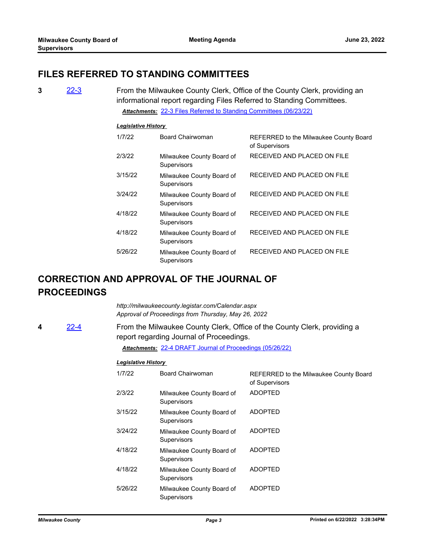## **FILES REFERRED TO STANDING COMMITTEES**

**3** [22-3](http://milwaukeecounty.legistar.com/gateway.aspx?m=l&id=/matter.aspx?key=11825) From the Milwaukee County Clerk, Office of the County Clerk, providing an informational report regarding Files Referred to Standing Committees. *Attachments:* [22-3 Files Referred to Standing Committees \(06/23/22\)](http://MilwaukeeCounty.legistar.com/gateway.aspx?M=F&ID=4a317d86-0d9c-4e11-959e-b7309fbfb6a3.pdf)

#### *Legislative History*

| 1/7/22  | <b>Board Chairwoman</b>                         | REFERRED to the Milwaukee County Board<br>of Supervisors |
|---------|-------------------------------------------------|----------------------------------------------------------|
| 2/3/22  | Milwaukee County Board of<br><b>Supervisors</b> | RECEIVED AND PLACED ON FILE                              |
| 3/15/22 | Milwaukee County Board of<br><b>Supervisors</b> | RECEIVED AND PLACED ON FILE                              |
| 3/24/22 | Milwaukee County Board of<br><b>Supervisors</b> | RECEIVED AND PLACED ON FILE                              |
| 4/18/22 | Milwaukee County Board of<br><b>Supervisors</b> | RECEIVED AND PLACED ON FILE                              |
| 4/18/22 | Milwaukee County Board of<br><b>Supervisors</b> | RECEIVED AND PLACED ON FILE                              |
| 5/26/22 | Milwaukee County Board of<br>Supervisors        | RECEIVED AND PLACED ON FILE                              |

# **CORRECTION AND APPROVAL OF THE JOURNAL OF PROCEEDINGS**

*http://milwaukeecounty.legistar.com/Calendar.aspx Approval of Proceedings from Thursday, May 26, 2022*

**4** [22-4](http://milwaukeecounty.legistar.com/gateway.aspx?m=l&id=/matter.aspx?key=11826) From the Milwaukee County Clerk, Office of the County Clerk, providing a report regarding Journal of Proceedings.

*Attachments:* [22-4 DRAFT Journal of Proceedings \(05/26/22\)](http://MilwaukeeCounty.legistar.com/gateway.aspx?M=F&ID=b4872335-2ae9-48d7-a079-4c6ba8c18cf2.pdf)

| 1/7/22  | Board Chairwoman                                | REFERRED to the Milwaukee County Board<br>of Supervisors |
|---------|-------------------------------------------------|----------------------------------------------------------|
| 2/3/22  | Milwaukee County Board of<br><b>Supervisors</b> | <b>ADOPTED</b>                                           |
| 3/15/22 | Milwaukee County Board of<br>Supervisors        | <b>ADOPTED</b>                                           |
| 3/24/22 | Milwaukee County Board of<br><b>Supervisors</b> | <b>ADOPTED</b>                                           |
| 4/18/22 | Milwaukee County Board of<br>Supervisors        | <b>ADOPTED</b>                                           |
| 4/18/22 | Milwaukee County Board of<br>Supervisors        | <b>ADOPTED</b>                                           |
| 5/26/22 | Milwaukee County Board of<br>Supervisors        | <b>ADOPTED</b>                                           |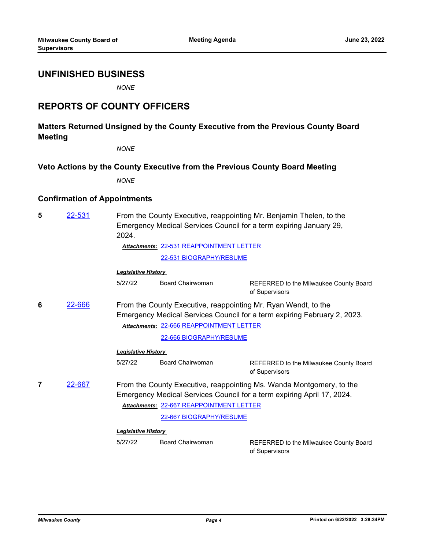### **UNFINISHED BUSINESS**

*NONE*

## **REPORTS OF COUNTY OFFICERS**

### **Matters Returned Unsigned by the County Executive from the Previous County Board Meeting**

*NONE*

### **Veto Actions by the County Executive from the Previous County Board Meeting**

*NONE*

#### **Confirmation of Appointments**

**5** [22-531](http://milwaukeecounty.legistar.com/gateway.aspx?m=l&id=/matter.aspx?key=12191) From the County Executive, reappointing Mr. Benjamin Thelen, to the Emergency Medical Services Council for a term expiring January 29, 2024.

[22-531 REAPPOINTMENT LETTER](http://MilwaukeeCounty.legistar.com/gateway.aspx?M=F&ID=726f207b-2dc6-4b33-979c-c7faded1fc06.pdf) *Attachments:*

[22-531 BIOGRAPHY/RESUME](http://MilwaukeeCounty.legistar.com/gateway.aspx?M=F&ID=5264e5f4-b378-4ccc-8004-c6a4be2d9091.pdf)

#### *Legislative History*

5/27/22 Board Chairwoman REFERRED to the Milwaukee County Board

of Supervisors

**6** [22-666](http://milwaukeecounty.legistar.com/gateway.aspx?m=l&id=/matter.aspx?key=12364) From the County Executive, reappointing Mr. Ryan Wendt, to the Emergency Medical Services Council for a term expiring February 2, 2023. [22-666 REAPPOINTMENT LETTER](http://MilwaukeeCounty.legistar.com/gateway.aspx?M=F&ID=1c69a062-7c84-47fc-bde8-5a2c09d7c574.pdf) *Attachments:*

|        |                            | 22-666 BIOGRAPHY/RESUME                  |                                                                                                                                                |
|--------|----------------------------|------------------------------------------|------------------------------------------------------------------------------------------------------------------------------------------------|
|        | <b>Legislative History</b> |                                          |                                                                                                                                                |
|        | 5/27/22                    | <b>Board Chairwoman</b>                  | REFERRED to the Milwaukee County Board<br>of Supervisors                                                                                       |
| 22-667 |                            | Attachments: 22-667 REAPPOINTMENT LETTER | From the County Executive, reappointing Ms. Wanda Montgomery, to the<br>Emergency Medical Services Council for a term expiring April 17, 2024. |
|        |                            | 22-667 BIOGRAPHY/RESUME                  |                                                                                                                                                |
|        | Legislative History        |                                          |                                                                                                                                                |
|        | 5/27/22                    | Board Chairwoman                         | REFERRED to the Milwaukee County Board<br>of Supervisors                                                                                       |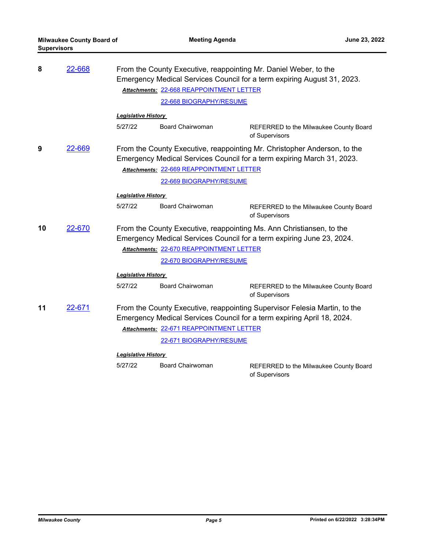| 8  | 22-668 |                                          | From the County Executive, reappointing Mr. Daniel Weber, to the<br>Emergency Medical Services Council for a term expiring August 31, 2023. |                                                                                                                                                     |
|----|--------|------------------------------------------|---------------------------------------------------------------------------------------------------------------------------------------------|-----------------------------------------------------------------------------------------------------------------------------------------------------|
|    |        |                                          | Attachments: 22-668 REAPPOINTMENT LETTER                                                                                                    |                                                                                                                                                     |
|    |        |                                          | 22-668 BIOGRAPHY/RESUME                                                                                                                     |                                                                                                                                                     |
|    |        | <b>Legislative History</b>               |                                                                                                                                             |                                                                                                                                                     |
|    |        | 5/27/22                                  | <b>Board Chairwoman</b>                                                                                                                     | REFERRED to the Milwaukee County Board<br>of Supervisors                                                                                            |
| 9  | 22-669 |                                          |                                                                                                                                             | From the County Executive, reappointing Mr. Christopher Anderson, to the<br>Emergency Medical Services Council for a term expiring March 31, 2023.  |
|    |        |                                          | Attachments: 22-669 REAPPOINTMENT LETTER                                                                                                    |                                                                                                                                                     |
|    |        |                                          | 22-669 BIOGRAPHY/RESUME                                                                                                                     |                                                                                                                                                     |
|    |        | <b>Legislative History</b>               |                                                                                                                                             |                                                                                                                                                     |
|    |        | 5/27/22                                  | <b>Board Chairwoman</b>                                                                                                                     | REFERRED to the Milwaukee County Board<br>of Supervisors                                                                                            |
| 10 | 22-670 |                                          |                                                                                                                                             | From the County Executive, reappointing Ms. Ann Christiansen, to the<br>Emergency Medical Services Council for a term expiring June 23, 2024.       |
|    |        |                                          | Attachments: 22-670 REAPPOINTMENT LETTER                                                                                                    |                                                                                                                                                     |
|    |        |                                          | 22-670 BIOGRAPHY/RESUME                                                                                                                     |                                                                                                                                                     |
|    |        | <b>Legislative History</b>               |                                                                                                                                             |                                                                                                                                                     |
|    |        | 5/27/22                                  | Board Chairwoman                                                                                                                            | REFERRED to the Milwaukee County Board<br>of Supervisors                                                                                            |
| 11 | 22-671 |                                          |                                                                                                                                             | From the County Executive, reappointing Supervisor Felesia Martin, to the<br>Emergency Medical Services Council for a term expiring April 18, 2024. |
|    |        | Attachments: 22-671 REAPPOINTMENT LETTER |                                                                                                                                             |                                                                                                                                                     |
|    |        |                                          | 22-671 BIOGRAPHY/RESUME                                                                                                                     |                                                                                                                                                     |
|    |        | <b>Legislative History</b>               |                                                                                                                                             |                                                                                                                                                     |
|    |        | 5/27/22                                  | <b>Board Chairwoman</b>                                                                                                                     | REFERRED to the Milwaukee County Board<br>of Supervisors                                                                                            |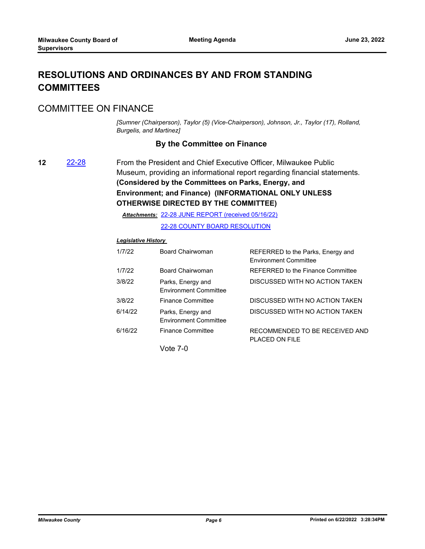# **RESOLUTIONS AND ORDINANCES BY AND FROM STANDING COMMITTEES**

## COMMITTEE ON FINANCE

*[Sumner (Chairperson), Taylor (5) (Vice-Chairperson), Johnson, Jr., Taylor (17), Rolland, Burgelis, and Martinez]*

### **By the Committee on Finance**

**12** [22-28](http://milwaukeecounty.legistar.com/gateway.aspx?m=l&id=/matter.aspx?key=11850) From the President and Chief Executive Officer, Milwaukee Public Museum, providing an informational report regarding financial statements. **(Considered by the Committees on Parks, Energy, and Environment; and Finance) (INFORMATIONAL ONLY UNLESS OTHERWISE DIRECTED BY THE COMMITTEE)**

[22-28 JUNE REPORT \(received 05/16/22\)](http://MilwaukeeCounty.legistar.com/gateway.aspx?M=F&ID=c6c114ee-2407-4e19-b5b1-a0e1852eca97.pdf) *Attachments:*

[22-28 COUNTY BOARD RESOLUTION](http://MilwaukeeCounty.legistar.com/gateway.aspx?M=F&ID=d2fc918c-450b-404e-8670-5270eeba6fbb.pdf)

### *Legislative History*

| 1/7/22  | Board Chairwoman                                  | REFERRED to the Parks, Energy and<br><b>Environment Committee</b> |
|---------|---------------------------------------------------|-------------------------------------------------------------------|
| 1/7/22  | Board Chairwoman                                  | REFERRED to the Finance Committee                                 |
| 3/8/22  | Parks, Energy and<br><b>Environment Committee</b> | DISCUSSED WITH NO ACTION TAKEN                                    |
| 3/8/22  | <b>Finance Committee</b>                          | DISCUSSED WITH NO ACTION TAKEN                                    |
| 6/14/22 | Parks, Energy and<br><b>Environment Committee</b> | DISCUSSED WITH NO ACTION TAKEN                                    |
| 6/16/22 | <b>Finance Committee</b>                          | RECOMMENDED TO BE RECEIVED AND<br>PLACED ON FILE                  |
|         |                                                   |                                                                   |

Vote 7-0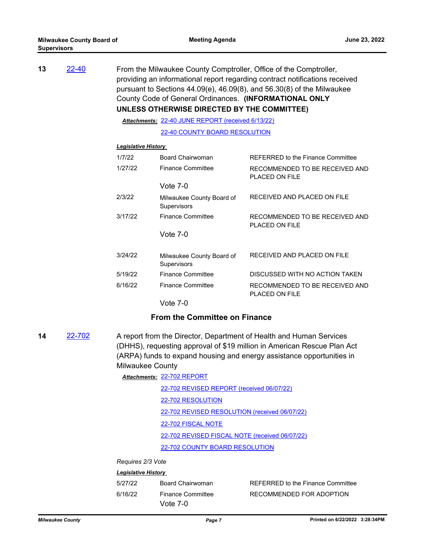| 22-40 |         |                                          |                                                                                                                                                                                                                                                                                                                                                                                                                                                                 |
|-------|---------|------------------------------------------|-----------------------------------------------------------------------------------------------------------------------------------------------------------------------------------------------------------------------------------------------------------------------------------------------------------------------------------------------------------------------------------------------------------------------------------------------------------------|
|       |         |                                          |                                                                                                                                                                                                                                                                                                                                                                                                                                                                 |
|       |         |                                          |                                                                                                                                                                                                                                                                                                                                                                                                                                                                 |
|       |         |                                          |                                                                                                                                                                                                                                                                                                                                                                                                                                                                 |
|       | 1/7/22  | Board Chairwoman                         | <b>REFERRED to the Finance Committee</b>                                                                                                                                                                                                                                                                                                                                                                                                                        |
|       | 1/27/22 | <b>Finance Committee</b>                 | RECOMMENDED TO BE RECEIVED AND<br>PLACED ON FILE                                                                                                                                                                                                                                                                                                                                                                                                                |
|       |         | Vote $7-0$                               |                                                                                                                                                                                                                                                                                                                                                                                                                                                                 |
|       | 2/3/22  | Milwaukee County Board of<br>Supervisors | RECEIVED AND PLACED ON FILE                                                                                                                                                                                                                                                                                                                                                                                                                                     |
|       | 3/17/22 | <b>Finance Committee</b>                 | RECOMMENDED TO BE RECEIVED AND<br>PLACED ON FILE                                                                                                                                                                                                                                                                                                                                                                                                                |
|       |         | Vote $7-0$                               |                                                                                                                                                                                                                                                                                                                                                                                                                                                                 |
|       | 3/24/22 | Milwaukee County Board of<br>Supervisors | RECEIVED AND PLACED ON FILE                                                                                                                                                                                                                                                                                                                                                                                                                                     |
|       | 5/19/22 | <b>Finance Committee</b>                 | DISCUSSED WITH NO ACTION TAKEN                                                                                                                                                                                                                                                                                                                                                                                                                                  |
|       |         |                                          | From the Milwaukee County Comptroller, Office of the Comptroller,<br>providing an informational report regarding contract notifications received<br>pursuant to Sections $44.09(e)$ , $46.09(8)$ , and $56.30(8)$ of the Milwaukee<br>County Code of General Ordinances. (INFORMATIONAL ONLY<br>UNLESS OTHERWISE DIRECTED BY THE COMMITTEE)<br>Attachments: 22-40 JUNE REPORT (received 6/13/22)<br>22-40 COUNTY BOARD RESOLUTION<br><b>Legislative History</b> |

Vote 7-0

#### **From the Committee on Finance**

6/16/22 Finance Committee RECOMMENDED TO BE RECEIVED AND

PLACED ON FILE

**14** [22-702](http://milwaukeecounty.legistar.com/gateway.aspx?m=l&id=/matter.aspx?key=12401) A report from the Director, Department of Health and Human Services (DHHS), requesting approval of \$19 million in American Rescue Plan Act (ARPA) funds to expand housing and energy assistance opportunities in Milwaukee County

| Attachments: 22-702 REPORT                     |  |  |
|------------------------------------------------|--|--|
| 22-702 REVISED REPORT (received 06/07/22)      |  |  |
| 22-702 RESOLUTION                              |  |  |
| 22-702 REVISED RESOLUTION (received 06/07/22)  |  |  |
| 22-702 FISCAL NOTE                             |  |  |
| 22-702 REVISED FISCAL NOTE (received 06/07/22) |  |  |
| 22-702 COUNTY BOARD RESOLUTION                 |  |  |
|                                                |  |  |

### *Requires 2/3 Vote*

| 5/27/22 | Board Chairwoman                       | REFERRED to the Finance Committee |
|---------|----------------------------------------|-----------------------------------|
| 6/16/22 | <b>Finance Committee</b><br>Vote $7-0$ | RECOMMENDED FOR ADOPTION          |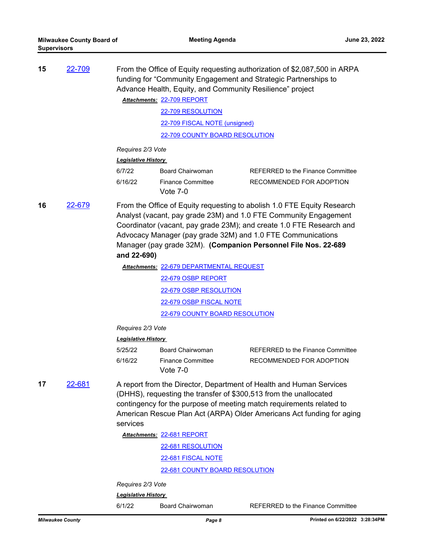| 15 | 22-709 |                            |                                          | From the Office of Equity requesting authorization of \$2,087,500 in ARPA<br>funding for "Community Engagement and Strategic Partnerships to<br>Advance Health, Equity, and Community Resilience" project                                                                                                                                            |
|----|--------|----------------------------|------------------------------------------|------------------------------------------------------------------------------------------------------------------------------------------------------------------------------------------------------------------------------------------------------------------------------------------------------------------------------------------------------|
|    |        |                            | Attachments: 22-709 REPORT               |                                                                                                                                                                                                                                                                                                                                                      |
|    |        |                            | 22-709 RESOLUTION                        |                                                                                                                                                                                                                                                                                                                                                      |
|    |        |                            | 22-709 FISCAL NOTE (unsigned)            |                                                                                                                                                                                                                                                                                                                                                      |
|    |        |                            | 22-709 COUNTY BOARD RESOLUTION           |                                                                                                                                                                                                                                                                                                                                                      |
|    |        | Requires 2/3 Vote          |                                          |                                                                                                                                                                                                                                                                                                                                                      |
|    |        | <b>Legislative History</b> |                                          |                                                                                                                                                                                                                                                                                                                                                      |
|    |        | 6/7/22                     | Board Chairwoman                         | REFERRED to the Finance Committee                                                                                                                                                                                                                                                                                                                    |
|    |        | 6/16/22                    | <b>Finance Committee</b>                 | RECOMMENDED FOR ADOPTION                                                                                                                                                                                                                                                                                                                             |
|    |        |                            | Vote $7-0$                               |                                                                                                                                                                                                                                                                                                                                                      |
| 16 | 22-679 | and 22-690)                |                                          | From the Office of Equity requesting to abolish 1.0 FTE Equity Research<br>Analyst (vacant, pay grade 23M) and 1.0 FTE Community Engagement<br>Coordinator (vacant, pay grade 23M); and create 1.0 FTE Research and<br>Advocacy Manager (pay grade 32M) and 1.0 FTE Communications<br>Manager (pay grade 32M). (Companion Personnel File Nos. 22-689 |
|    |        |                            | Attachments: 22-679 DEPARTMENTAL REQUEST |                                                                                                                                                                                                                                                                                                                                                      |
|    |        |                            | 22-679 OSBP REPORT                       |                                                                                                                                                                                                                                                                                                                                                      |
|    |        |                            | 22-679 OSBP RESOLUTION                   |                                                                                                                                                                                                                                                                                                                                                      |
|    |        |                            | <u>22-679 OSBP FISCAL NOTE</u>           |                                                                                                                                                                                                                                                                                                                                                      |
|    |        |                            | 22-679 COUNTY BOARD RESOLUTION           |                                                                                                                                                                                                                                                                                                                                                      |
|    |        | Requires 2/3 Vote          |                                          |                                                                                                                                                                                                                                                                                                                                                      |
|    |        | <b>Legislative History</b> |                                          |                                                                                                                                                                                                                                                                                                                                                      |
|    |        | 5/25/22                    | Board Chairwoman                         | REFERRED to the Finance Committee                                                                                                                                                                                                                                                                                                                    |
|    |        | 6/16/22                    | <b>Finance Committee</b><br>Vote 7-0     | RECOMMENDED FOR ADOPTION                                                                                                                                                                                                                                                                                                                             |
| 17 | 22-681 | services                   |                                          | A report from the Director, Department of Health and Human Services<br>(DHHS), requesting the transfer of \$300,513 from the unallocated<br>contingency for the purpose of meeting match requirements related to<br>American Rescue Plan Act (ARPA) Older Americans Act funding for aging                                                            |
|    |        |                            | Attachments: 22-681 REPORT               |                                                                                                                                                                                                                                                                                                                                                      |
|    |        |                            | 22-681 RESOLUTION                        |                                                                                                                                                                                                                                                                                                                                                      |
|    |        |                            | 22-681 FISCAL NOTE                       |                                                                                                                                                                                                                                                                                                                                                      |
|    |        |                            | 22-681 COUNTY BOARD RESOLUTION           |                                                                                                                                                                                                                                                                                                                                                      |

*Requires 2/3 Vote*

*Legislative History* 

6/1/22 Board Chairwoman REFERRED to the Finance Committee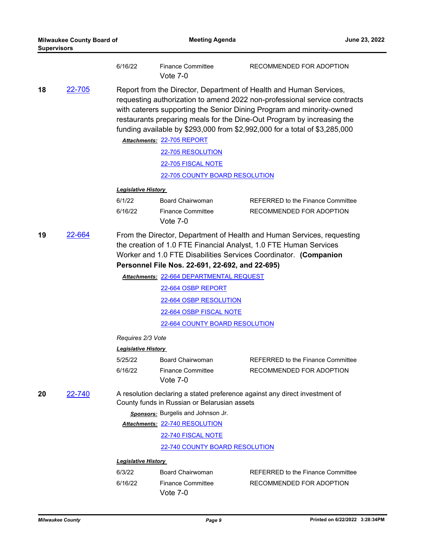| <b>Milwaukee County Board of</b><br><b>Supervisors</b> |               |                                                  | <b>Meeting Agenda</b>                                                                                                                                                        | June 23, 2022                                                                                                                                                                                                                                                                                                                                                                    |
|--------------------------------------------------------|---------------|--------------------------------------------------|------------------------------------------------------------------------------------------------------------------------------------------------------------------------------|----------------------------------------------------------------------------------------------------------------------------------------------------------------------------------------------------------------------------------------------------------------------------------------------------------------------------------------------------------------------------------|
|                                                        |               | 6/16/22                                          | <b>Finance Committee</b><br>Vote $7-0$                                                                                                                                       | RECOMMENDED FOR ADOPTION                                                                                                                                                                                                                                                                                                                                                         |
| 18                                                     | 22-705        |                                                  | Attachments: 22-705 REPORT<br>22-705 RESOLUTION<br>22-705 FISCAL NOTE<br>22-705 COUNTY BOARD RESOLUTION                                                                      | Report from the Director, Department of Health and Human Services,<br>requesting authorization to amend 2022 non-professional service contracts<br>with caterers supporting the Senior Dining Program and minority-owned<br>restaurants preparing meals for the Dine-Out Program by increasing the<br>funding available by \$293,000 from \$2,992,000 for a total of \$3,285,000 |
|                                                        |               | <b>Legislative History</b>                       |                                                                                                                                                                              |                                                                                                                                                                                                                                                                                                                                                                                  |
|                                                        |               | 6/1/22<br>6/16/22                                | <b>Board Chairwoman</b><br><b>Finance Committee</b><br>Vote $7-0$                                                                                                            | <b>REFERRED to the Finance Committee</b><br>RECOMMENDED FOR ADOPTION                                                                                                                                                                                                                                                                                                             |
| 19                                                     | <u>22-664</u> |                                                  | Personnel File Nos. 22-691, 22-692, and 22-695)<br>Attachments: 22-664 DEPARTMENTAL REQUEST<br>22-664 OSBP REPORT<br>22-664 OSBP RESOLUTION<br>22-664 OSBP FISCAL NOTE       | From the Director, Department of Health and Human Services, requesting<br>the creation of 1.0 FTE Financial Analyst, 1.0 FTE Human Services<br>Worker and 1.0 FTE Disabilities Services Coordinator. (Companion                                                                                                                                                                  |
|                                                        |               |                                                  | 22-664 COUNTY BOARD RESOLUTION                                                                                                                                               |                                                                                                                                                                                                                                                                                                                                                                                  |
|                                                        |               | Requires 2/3 Vote                                |                                                                                                                                                                              |                                                                                                                                                                                                                                                                                                                                                                                  |
|                                                        |               | <b>Legislative History</b><br>5/25/22<br>6/16/22 | <b>Board Chairwoman</b><br><b>Finance Committee</b><br>Vote 7-0                                                                                                              | REFERRED to the Finance Committee<br>RECOMMENDED FOR ADOPTION                                                                                                                                                                                                                                                                                                                    |
| 20                                                     | 22-740        |                                                  | County funds in Russian or Belarusian assets<br>Sponsors: Burgelis and Johnson Jr.<br>Attachments: 22-740 RESOLUTION<br>22-740 FISCAL NOTE<br>22-740 COUNTY BOARD RESOLUTION | A resolution declaring a stated preference against any direct investment of                                                                                                                                                                                                                                                                                                      |
|                                                        |               | <b>Legislative History</b>                       |                                                                                                                                                                              |                                                                                                                                                                                                                                                                                                                                                                                  |
|                                                        |               | 6/3/22                                           | <b>Board Chairwoman</b>                                                                                                                                                      | <b>REFERRED to the Finance Committee</b>                                                                                                                                                                                                                                                                                                                                         |
|                                                        |               | 6/16/22                                          | <b>Finance Committee</b><br>Vote $7-0$                                                                                                                                       | RECOMMENDED FOR ADOPTION                                                                                                                                                                                                                                                                                                                                                         |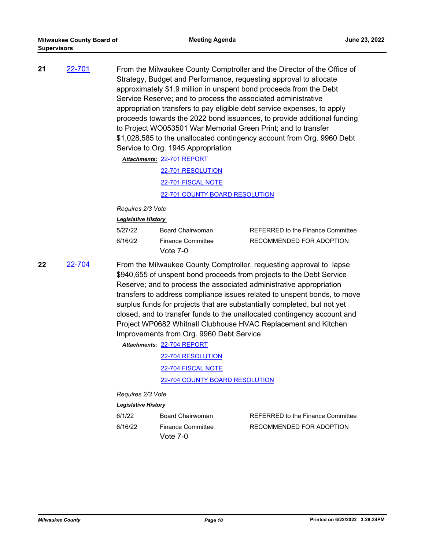| 21 | 22-701 | From the Milwaukee County Comptroller and the Director of the Office of<br>Strategy, Budget and Performance, requesting approval to allocate<br>approximately \$1.9 million in unspent bond proceeds from the Debt<br>Service Reserve; and to process the associated administrative<br>appropriation transfers to pay eligible debt service expenses, to apply<br>proceeds towards the 2022 bond issuances, to provide additional funding<br>to Project WO053501 War Memorial Green Print; and to transfer<br>\$1,028,585 to the unallocated contingency account from Org. 9960 Debt |
|----|--------|--------------------------------------------------------------------------------------------------------------------------------------------------------------------------------------------------------------------------------------------------------------------------------------------------------------------------------------------------------------------------------------------------------------------------------------------------------------------------------------------------------------------------------------------------------------------------------------|
|    |        | Service to Org. 1945 Appropriation                                                                                                                                                                                                                                                                                                                                                                                                                                                                                                                                                   |

[22-701 REPORT](http://MilwaukeeCounty.legistar.com/gateway.aspx?M=F&ID=9cadb2ea-70d2-4262-999f-b34cc186671e.pdf) *Attachments:*

[22-701 RESOLUTION](http://MilwaukeeCounty.legistar.com/gateway.aspx?M=F&ID=bd84aad5-5580-45a2-8e10-d9210ed63427.docx) [22-701 FISCAL NOTE](http://MilwaukeeCounty.legistar.com/gateway.aspx?M=F&ID=116149e2-0e03-41d4-b910-fb3b47509cc8.pdf) [22-701 COUNTY BOARD RESOLUTION](http://MilwaukeeCounty.legistar.com/gateway.aspx?M=F&ID=efae6fca-c4fc-4452-b7cf-6169279146d1.pdf)

*Requires 2/3 Vote*

#### *Legislative History*

| 5/27/22 | Board Chairwoman                     | REFERRED to the Finance Committee |
|---------|--------------------------------------|-----------------------------------|
| 6/16/22 | <b>Finance Committee</b><br>Vote 7-0 | RECOMMENDED FOR ADOPTION          |

**22** [22-704](http://milwaukeecounty.legistar.com/gateway.aspx?m=l&id=/matter.aspx?key=12403) From the Milwaukee County Comptroller, requesting approval to lapse \$940,655 of unspent bond proceeds from projects to the Debt Service Reserve; and to process the associated administrative appropriation transfers to address compliance issues related to unspent bonds, to move surplus funds for projects that are substantially completed, but not yet closed, and to transfer funds to the unallocated contingency account and Project WP0682 Whitnall Clubhouse HVAC Replacement and Kitchen Improvements from Org. 9960 Debt Service

[22-704 REPORT](http://MilwaukeeCounty.legistar.com/gateway.aspx?M=F&ID=74b1b84e-37c8-4893-aaa9-a9c22484efd6.pdf) *Attachments:*

[22-704 RESOLUTION](http://MilwaukeeCounty.legistar.com/gateway.aspx?M=F&ID=dcb0a19d-b101-47d0-8064-3498601569cd.docx) [22-704 FISCAL NOTE](http://MilwaukeeCounty.legistar.com/gateway.aspx?M=F&ID=a5a7d3bc-9b34-41c9-a2eb-159e0155b24b.pdf) [22-704 COUNTY BOARD RESOLUTION](http://MilwaukeeCounty.legistar.com/gateway.aspx?M=F&ID=feb00aee-1a9a-42ab-98ec-3ced948fe9a5.pdf)

*Requires 2/3 Vote*

| 6/1/22  | Board Chairwoman                       | REFERRED to the Finance Committee |
|---------|----------------------------------------|-----------------------------------|
| 6/16/22 | <b>Finance Committee</b><br>Vote $7-0$ | RECOMMENDED FOR ADOPTION          |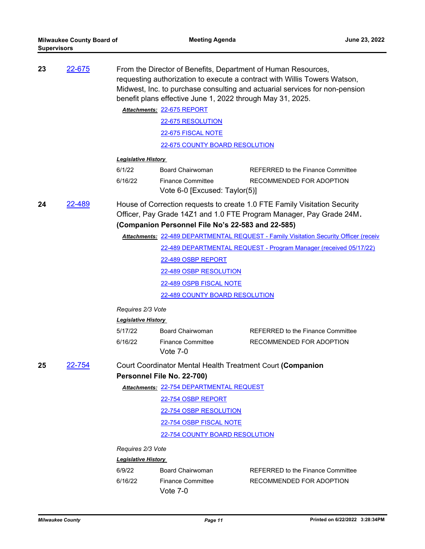| 23 | 22-675 | From the Director of Benefits, Department of Human Resources,                         |                                                            |                                                                             |  |  |  |
|----|--------|---------------------------------------------------------------------------------------|------------------------------------------------------------|-----------------------------------------------------------------------------|--|--|--|
|    |        | requesting authorization to execute a contract with Willis Towers Watson,             |                                                            |                                                                             |  |  |  |
|    |        |                                                                                       |                                                            | Midwest, Inc. to purchase consulting and actuarial services for non-pension |  |  |  |
|    |        |                                                                                       | benefit plans effective June 1, 2022 through May 31, 2025. |                                                                             |  |  |  |
|    |        | Attachments: 22-675 REPORT                                                            |                                                            |                                                                             |  |  |  |
|    |        | 22-675 RESOLUTION                                                                     |                                                            |                                                                             |  |  |  |
|    |        | 22-675 FISCAL NOTE                                                                    |                                                            |                                                                             |  |  |  |
|    |        |                                                                                       | 22-675 COUNTY BOARD RESOLUTION                             |                                                                             |  |  |  |
|    |        | <b>Legislative History</b>                                                            |                                                            |                                                                             |  |  |  |
|    |        | 6/1/22                                                                                | Board Chairwoman                                           | REFERRED to the Finance Committee                                           |  |  |  |
|    |        | 6/16/22                                                                               | <b>Finance Committee</b><br>Vote 6-0 [Excused: Taylor(5)]  | RECOMMENDED FOR ADOPTION                                                    |  |  |  |
| 24 | 22-489 |                                                                                       |                                                            | House of Correction requests to create 1.0 FTE Family Visitation Security   |  |  |  |
|    |        | Officer, Pay Grade 14Z1 and 1.0 FTE Program Manager, Pay Grade 24M.                   |                                                            |                                                                             |  |  |  |
|    |        |                                                                                       | (Companion Personnel File No's 22-583 and 22-585)          |                                                                             |  |  |  |
|    |        | Attachments: 22-489 DEPARTMENTAL REQUEST - Family Visitation Security Officer (receiv |                                                            |                                                                             |  |  |  |
|    |        | 22-489 DEPARTMENTAL REQUEST - Program Manager (received 05/17/22)                     |                                                            |                                                                             |  |  |  |
|    |        | 22-489 OSBP REPORT                                                                    |                                                            |                                                                             |  |  |  |
|    |        | 22-489 OSBP RESOLUTION                                                                |                                                            |                                                                             |  |  |  |
|    |        | 22-489 OSPB FISCAL NOTE                                                               |                                                            |                                                                             |  |  |  |
|    |        | <u>22-489 COUNTY BOARD RESOLUTION</u>                                                 |                                                            |                                                                             |  |  |  |
|    |        | Requires 2/3 Vote                                                                     |                                                            |                                                                             |  |  |  |
|    |        | <b>Legislative History</b>                                                            |                                                            |                                                                             |  |  |  |
|    |        | 5/17/22                                                                               | Board Chairwoman                                           | REFERRED to the Finance Committee                                           |  |  |  |
|    |        | 6/16/22                                                                               | <b>Finance Committee</b>                                   | RECOMMENDED FOR ADOPTION                                                    |  |  |  |
|    |        |                                                                                       | Vote $7-0$                                                 |                                                                             |  |  |  |
| 25 | 22-754 |                                                                                       | Court Coordinator Mental Health Treatment Court (Companion |                                                                             |  |  |  |
|    |        | Personnel File No. 22-700)                                                            |                                                            |                                                                             |  |  |  |
|    |        | Attachments: 22-754 DEPARTMENTAL REQUEST                                              |                                                            |                                                                             |  |  |  |
|    |        | 22-754 OSBP REPORT                                                                    |                                                            |                                                                             |  |  |  |
|    |        |                                                                                       | 22-754 OSBP RESOLUTION                                     |                                                                             |  |  |  |
|    |        | 22-754 OSBP FISCAL NOTE                                                               |                                                            |                                                                             |  |  |  |
|    |        |                                                                                       | 22-754 COUNTY BOARD RESOLUTION                             |                                                                             |  |  |  |
|    |        | Requires 2/3 Vote                                                                     |                                                            |                                                                             |  |  |  |
|    |        | <b>Legislative History</b>                                                            |                                                            |                                                                             |  |  |  |
|    |        | 6/9/22                                                                                | <b>Board Chairwoman</b>                                    | REFERRED to the Finance Committee                                           |  |  |  |
|    |        | 6/16/22                                                                               | <b>Finance Committee</b><br>Vote $7-0$                     | RECOMMENDED FOR ADOPTION                                                    |  |  |  |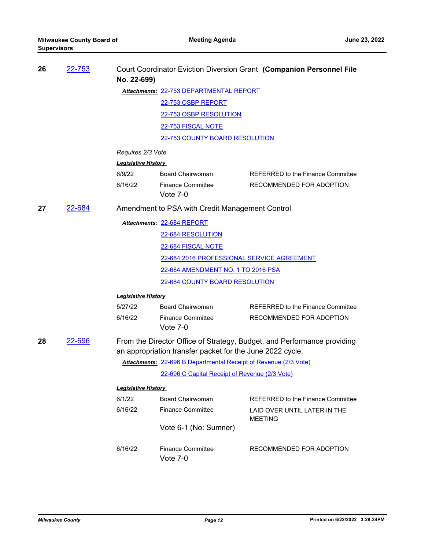| 26 | <u>22-753</u> | No. 22-699)                |                                                                  | Court Coordinator Eviction Diversion Grant (Companion Personnel File    |
|----|---------------|----------------------------|------------------------------------------------------------------|-------------------------------------------------------------------------|
|    |               |                            | Attachments: 22-753 DEPARTMENTAL REPORT                          |                                                                         |
|    |               |                            | 22-753 OSBP REPORT                                               |                                                                         |
|    |               |                            | <u>22-753 OSBP RESOLUTION</u>                                    |                                                                         |
|    |               |                            | 22-753 FISCAL NOTE                                               |                                                                         |
|    |               |                            | 22-753 COUNTY BOARD RESOLUTION                                   |                                                                         |
|    |               | Requires 2/3 Vote          |                                                                  |                                                                         |
|    |               | <b>Legislative History</b> |                                                                  |                                                                         |
|    |               | 6/9/22                     | <b>Board Chairwoman</b>                                          | <b>REFERRED to the Finance Committee</b>                                |
|    |               | 6/16/22                    | <b>Finance Committee</b><br>Vote $7-0$                           | RECOMMENDED FOR ADOPTION                                                |
| 27 | 22-684        |                            | Amendment to PSA with Credit Management Control                  |                                                                         |
|    |               |                            | Attachments: 22-684 REPORT                                       |                                                                         |
|    |               |                            | 22-684 RESOLUTION                                                |                                                                         |
|    |               |                            | 22-684 FISCAL NOTE                                               |                                                                         |
|    |               |                            | 22-684 2016 PROFESSIONAL SERVICE AGREEMENT                       |                                                                         |
|    |               |                            | <u>22-684 AMENDMENT NO. 1 TO 2016 PSA</u>                        |                                                                         |
|    |               |                            | 22-684 COUNTY BOARD RESOLUTION                                   |                                                                         |
|    |               | <b>Legislative History</b> |                                                                  |                                                                         |
|    |               | 5/27/22                    | <b>Board Chairwoman</b>                                          | <b>REFERRED to the Finance Committee</b>                                |
|    |               | 6/16/22                    | <b>Finance Committee</b><br>Vote 7-0                             | RECOMMENDED FOR ADOPTION                                                |
| 28 | 22-696        |                            | an appropriation transfer packet for the June 2022 cycle.        | From the Director Office of Strategy, Budget, and Performance providing |
|    |               |                            | Attachments: 22-696 B Departmental Receipt of Revenue (2/3 Vote) |                                                                         |
|    |               |                            | 22-696 C Capital Receipt of Revenue (2/3 Vote)                   |                                                                         |
|    |               | <b>Legislative History</b> |                                                                  |                                                                         |
|    |               | 6/1/22                     | <b>Board Chairwoman</b>                                          | REFERRED to the Finance Committee                                       |
|    |               | 6/16/22                    | <b>Finance Committee</b>                                         | LAID OVER UNTIL LATER IN THE<br><b>MEETING</b>                          |
|    |               |                            | Vote 6-1 (No: Sumner)                                            |                                                                         |
|    |               | 6/16/22                    | <b>Finance Committee</b><br>Vote 7-0                             | RECOMMENDED FOR ADOPTION                                                |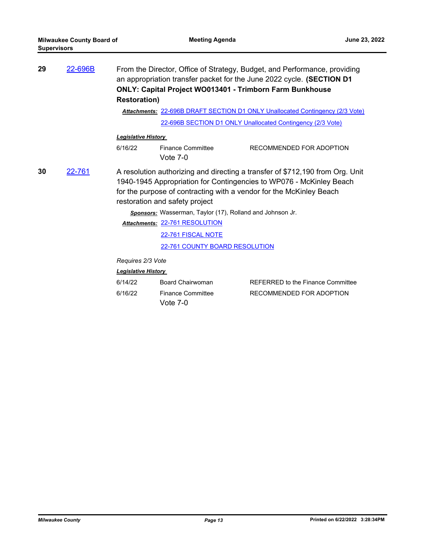| 29 | 22-696B | From the Director, Office of Strategy, Budget, and Performance, providing<br>an appropriation transfer packet for the June 2022 cycle. (SECTION D1<br><b>ONLY: Capital Project WO013401 - Trimborn Farm Bunkhouse</b><br><b>Restoration)</b><br>Attachments: 22-696B DRAFT SECTION D1 ONLY Unallocated Contingency (2/3 Vote)<br>22-696B SECTION D1 ONLY Unallocated Contingency (2/3 Vote) |                                                           |                                                                                                                                                                                                                             |
|----|---------|---------------------------------------------------------------------------------------------------------------------------------------------------------------------------------------------------------------------------------------------------------------------------------------------------------------------------------------------------------------------------------------------|-----------------------------------------------------------|-----------------------------------------------------------------------------------------------------------------------------------------------------------------------------------------------------------------------------|
|    |         | <b>Legislative History</b>                                                                                                                                                                                                                                                                                                                                                                  |                                                           |                                                                                                                                                                                                                             |
|    |         | 6/16/22                                                                                                                                                                                                                                                                                                                                                                                     | <b>Finance Committee</b><br>Vote $7-0$                    | RECOMMENDED FOR ADOPTION                                                                                                                                                                                                    |
| 30 | 22-761  |                                                                                                                                                                                                                                                                                                                                                                                             | restoration and safety project                            | A resolution authorizing and directing a transfer of \$712,190 from Org. Unit<br>1940-1945 Appropriation for Contingencies to WP076 - McKinley Beach<br>for the purpose of contracting with a vendor for the McKinley Beach |
|    |         |                                                                                                                                                                                                                                                                                                                                                                                             | Sponsors: Wasserman, Taylor (17), Rolland and Johnson Jr. |                                                                                                                                                                                                                             |
|    |         |                                                                                                                                                                                                                                                                                                                                                                                             | Attachments: 22-761 RESOLUTION                            |                                                                                                                                                                                                                             |
|    |         |                                                                                                                                                                                                                                                                                                                                                                                             | 22-761 FISCAL NOTE                                        |                                                                                                                                                                                                                             |
|    |         |                                                                                                                                                                                                                                                                                                                                                                                             | 22-761 COUNTY BOARD RESOLUTION                            |                                                                                                                                                                                                                             |
|    |         | Requires 2/3 Vote                                                                                                                                                                                                                                                                                                                                                                           |                                                           |                                                                                                                                                                                                                             |
|    |         | <b>Legislative History</b>                                                                                                                                                                                                                                                                                                                                                                  |                                                           |                                                                                                                                                                                                                             |
|    |         | 6/14/22                                                                                                                                                                                                                                                                                                                                                                                     | Board Chairwoman                                          | <b>REFERRED to the Finance Committee</b>                                                                                                                                                                                    |

| 5/14/22 | Board Chairwoman         |
|---------|--------------------------|
| 5/16/22 | <b>Finance Committee</b> |
|         | Vote $7-0$               |

6/16/22 Finance Committee RECOMMENDED FOR ADOPTION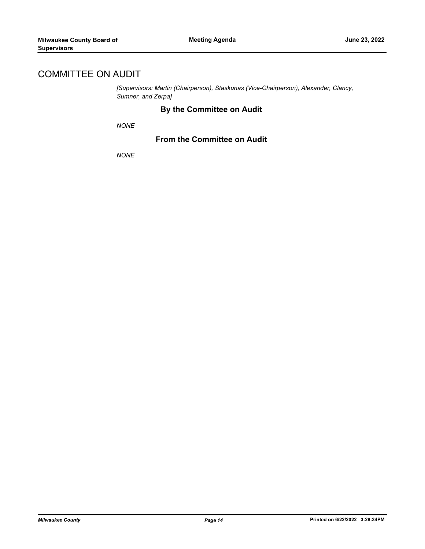# COMMITTEE ON AUDIT

*[Supervisors: Martin (Chairperson), Staskunas (Vice-Chairperson), Alexander, Clancy, Sumner, and Zerpa]*

### **By the Committee on Audit**

*NONE*

### **From the Committee on Audit**

*NONE*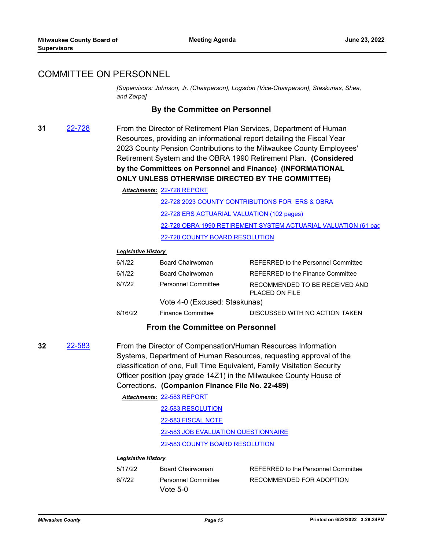### COMMITTEE ON PERSONNEL

*[Supervisors: Johnson, Jr. (Chairperson), Logsdon (Vice-Chairperson), Staskunas, Shea, and Zerpa]*

#### **By the Committee on Personnel**

**31** [22-728](http://milwaukeecounty.legistar.com/gateway.aspx?m=l&id=/matter.aspx?key=12429) From the Director of Retirement Plan Services, Department of Human Resources, providing an informational report detailing the Fiscal Year 2023 County Pension Contributions to the Milwaukee County Employees' Retirement System and the OBRA 1990 Retirement Plan. **(Considered by the Committees on Personnel and Finance) (INFORMATIONAL ONLY UNLESS OTHERWISE DIRECTED BY THE COMMITTEE)**

[22-728 REPORT](http://MilwaukeeCounty.legistar.com/gateway.aspx?M=F&ID=69ef268d-fee7-4b9a-9239-6db50173e990.pdf) *Attachments:*

[22-728 2023 COUNTY CONTRIBUTIONS FOR ERS & OBRA](http://MilwaukeeCounty.legistar.com/gateway.aspx?M=F&ID=16c2757b-c7b8-4d45-8657-3528aeb2d532.pdf) [22-728 ERS ACTUARIAL VALUATION \(102 pages\)](http://MilwaukeeCounty.legistar.com/gateway.aspx?M=F&ID=049cca4e-da4c-4fbf-87b7-cfd498517c2f.pdf) 22-728 OBRA 1990 RETIREMENT SYSTEM ACTUARIAL VALUATION (61 pac [22-728 COUNTY BOARD RESOLUTION](http://MilwaukeeCounty.legistar.com/gateway.aspx?M=F&ID=c36af17a-ec53-4482-9bec-1ca9061c6f61.pdf)

#### *Legislative History*

| 6/1/22  | Board Chairwoman              | REFERRED to the Personnel Committee              |
|---------|-------------------------------|--------------------------------------------------|
| 6/1/22  | Board Chairwoman              | REFERRED to the Finance Committee                |
| 6/7/22  | <b>Personnel Committee</b>    | RECOMMENDED TO BE RECEIVED AND<br>PLACED ON FILE |
|         | Vote 4-0 (Excused: Staskunas) |                                                  |
| 6/16/22 | <b>Finance Committee</b>      | DISCUSSED WITH NO ACTION TAKEN                   |

#### **From the Committee on Personnel**

- **32** [22-583](http://milwaukeecounty.legistar.com/gateway.aspx?m=l&id=/matter.aspx?key=12243) From the Director of Compensation/Human Resources Information Systems, Department of Human Resources, requesting approval of the classification of one, Full Time Equivalent, Family Visitation Security Officer position (pay grade 14Z1) in the Milwaukee County House of Corrections. **(Companion Finance File No. 22-489)**
	- [22-583 REPORT](http://MilwaukeeCounty.legistar.com/gateway.aspx?M=F&ID=56f703c8-601f-45f8-a435-e021b4989099.pdf) *Attachments:* [22-583 RESOLUTION](http://MilwaukeeCounty.legistar.com/gateway.aspx?M=F&ID=2fa828cb-ef27-4e6c-9f1c-63d930faebe4.docx) [22-583 FISCAL NOTE](http://MilwaukeeCounty.legistar.com/gateway.aspx?M=F&ID=b4c8215c-24d1-47d0-9273-b81939bf4881.pdf) [22-583 JOB EVALUATION QUESTIONNAIRE](http://MilwaukeeCounty.legistar.com/gateway.aspx?M=F&ID=d81af6dc-ae3a-4df8-87f5-b1228d9e071a.pdf) [22-583 COUNTY BOARD RESOLUTION](http://MilwaukeeCounty.legistar.com/gateway.aspx?M=F&ID=c33a24fc-869c-4788-85f0-d23bac0b5f40.pdf)

| 5/17/22 | Board Chairwoman    | REFERRED to the Personnel Committee |
|---------|---------------------|-------------------------------------|
| 6/7/22  | Personnel Committee | RECOMMENDED FOR ADOPTION            |
|         | Vote $5-0$          |                                     |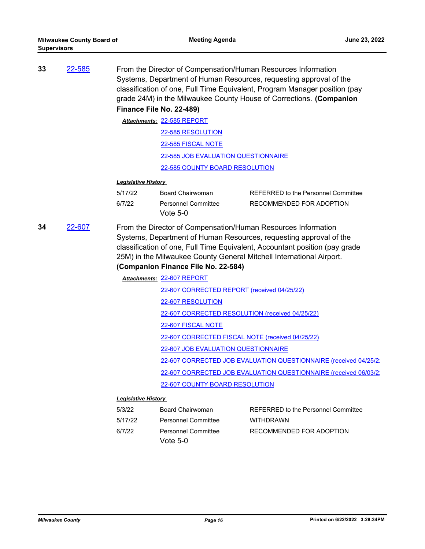| 33                                              | 22-585 | From the Director of Compensation/Human Resources Information<br>Systems, Department of Human Resources, requesting approval of the<br>classification of one, Full Time Equivalent, Program Manager position (pay<br>grade 24M) in the Milwaukee County House of Corrections. (Companion<br>Finance File No. 22-489) |                                            |                                            |
|-------------------------------------------------|--------|----------------------------------------------------------------------------------------------------------------------------------------------------------------------------------------------------------------------------------------------------------------------------------------------------------------------|--------------------------------------------|--------------------------------------------|
| Attachments: 22-585 REPORT<br>22-585 RESOLUTION |        |                                                                                                                                                                                                                                                                                                                      |                                            |                                            |
|                                                 |        |                                                                                                                                                                                                                                                                                                                      |                                            |                                            |
|                                                 |        |                                                                                                                                                                                                                                                                                                                      | 22-585 FISCAL NOTE                         |                                            |
|                                                 |        |                                                                                                                                                                                                                                                                                                                      | <b>22-585 JOB EVALUATION QUESTIONNAIRE</b> |                                            |
|                                                 |        |                                                                                                                                                                                                                                                                                                                      | <b>22-585 COUNTY BOARD RESOLUTION</b>      |                                            |
|                                                 |        | <b>Legislative History</b>                                                                                                                                                                                                                                                                                           |                                            |                                            |
|                                                 |        | 5/17/22                                                                                                                                                                                                                                                                                                              | Board Chairwoman                           | <b>REFERRED to the Personnel Committee</b> |
|                                                 |        | 6/7/22                                                                                                                                                                                                                                                                                                               | <b>Personnel Committee</b><br>Vote 5-0     | RECOMMENDED FOR ADOPTION                   |

**34** [22-607](http://milwaukeecounty.legistar.com/gateway.aspx?m=l&id=/matter.aspx?key=12267) From the Director of Compensation/Human Resources Information Systems, Department of Human Resources, requesting approval of the classification of one, Full Time Equivalent, Accountant position (pay grade 25M) in the Milwaukee County General Mitchell International Airport.

### **(Companion Finance File No. 22-584)**

[22-607 REPORT](http://MilwaukeeCounty.legistar.com/gateway.aspx?M=F&ID=16382140-9c29-4310-8abd-bbddd94708a6.pdf) *Attachments:*

[22-607 CORRECTED REPORT \(received 04/25/22\)](http://MilwaukeeCounty.legistar.com/gateway.aspx?M=F&ID=1d9864db-d496-4ad0-8e08-f8f67cad47ab.pdf)

[22-607 RESOLUTION](http://MilwaukeeCounty.legistar.com/gateway.aspx?M=F&ID=eac03108-e3f1-425a-976b-db0ce3a9c87b.docx)

[22-607 CORRECTED RESOLUTION \(received 04/25/22\)](http://MilwaukeeCounty.legistar.com/gateway.aspx?M=F&ID=5a7df13f-f94c-4b9b-8671-585e0e0ebb72.docx)

[22-607 FISCAL NOTE](http://MilwaukeeCounty.legistar.com/gateway.aspx?M=F&ID=ced7c0d5-490c-49c3-b456-8b79f80d0b44.pdf)

[22-607 CORRECTED FISCAL NOTE \(received 04/25/22\)](http://MilwaukeeCounty.legistar.com/gateway.aspx?M=F&ID=9d0b6b1e-2fa4-46df-97ea-cbf7b5a0d527.pdf)

[22-607 JOB EVALUATION QUESTIONNAIRE](http://MilwaukeeCounty.legistar.com/gateway.aspx?M=F&ID=2b27a22a-8e5f-47bd-95cd-96fcb26fa5f9.pdf)

[22-607 CORRECTED JOB EVALUATION QUESTIONNAIRE \(received 04/25/2](http://MilwaukeeCounty.legistar.com/gateway.aspx?M=F&ID=d44fb221-1d1e-4217-83fc-3d2244369bcc.pdf))

[22-607 CORRECTED JOB EVALUATION QUESTIONNAIRE \(received 06/03/2](http://MilwaukeeCounty.legistar.com/gateway.aspx?M=F&ID=3225ad6c-6df9-4cab-b7d0-f7eb3e558e74.pdf))

[22-607 COUNTY BOARD RESOLUTION](http://MilwaukeeCounty.legistar.com/gateway.aspx?M=F&ID=f2202a23-7e97-49bd-901c-c2ad64c30c5c.pdf)

| 5/3/22  | Board Chairwoman           | <b>REFERRED to the Personnel Committee</b> |
|---------|----------------------------|--------------------------------------------|
| 5/17/22 | <b>Personnel Committee</b> | <b>WITHDRAWN</b>                           |
| 6/7/22  | <b>Personnel Committee</b> | RECOMMENDED FOR ADOPTION                   |
|         | Vote $5-0$                 |                                            |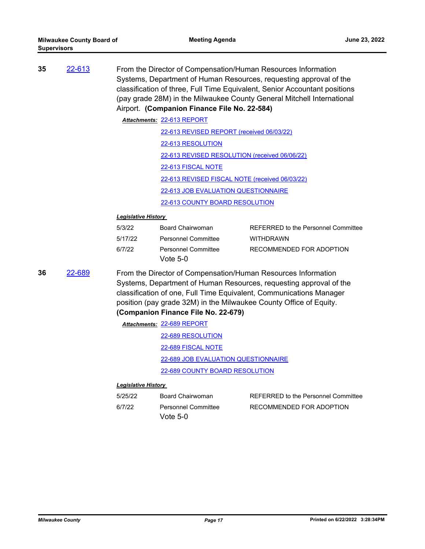| 35 | 22-613                                                                                                                                                                                                                                                                                                                            | From the Director of Compensation/Human Resources Information<br>Systems, Department of Human Resources, requesting approval of the<br>classification of three, Full Time Equivalent, Senior Accountant positions<br>(pay grade 28M) in the Milwaukee County General Mitchell International<br>Airport. (Companion Finance File No. 22-584) |                                                |                                     |  |
|----|-----------------------------------------------------------------------------------------------------------------------------------------------------------------------------------------------------------------------------------------------------------------------------------------------------------------------------------|---------------------------------------------------------------------------------------------------------------------------------------------------------------------------------------------------------------------------------------------------------------------------------------------------------------------------------------------|------------------------------------------------|-------------------------------------|--|
|    |                                                                                                                                                                                                                                                                                                                                   |                                                                                                                                                                                                                                                                                                                                             | Attachments: 22-613 REPORT                     |                                     |  |
|    |                                                                                                                                                                                                                                                                                                                                   |                                                                                                                                                                                                                                                                                                                                             | 22-613 REVISED REPORT (received 06/03/22)      |                                     |  |
|    |                                                                                                                                                                                                                                                                                                                                   |                                                                                                                                                                                                                                                                                                                                             | 22-613 RESOLUTION                              |                                     |  |
|    |                                                                                                                                                                                                                                                                                                                                   |                                                                                                                                                                                                                                                                                                                                             | 22-613 REVISED RESOLUTION (received 06/06/22)  |                                     |  |
|    |                                                                                                                                                                                                                                                                                                                                   |                                                                                                                                                                                                                                                                                                                                             | 22-613 FISCAL NOTE                             |                                     |  |
|    |                                                                                                                                                                                                                                                                                                                                   |                                                                                                                                                                                                                                                                                                                                             | 22-613 REVISED FISCAL NOTE (received 06/03/22) |                                     |  |
|    |                                                                                                                                                                                                                                                                                                                                   |                                                                                                                                                                                                                                                                                                                                             | <u>22-613 JOB EVALUATION QUESTIONNAIRE</u>     |                                     |  |
|    |                                                                                                                                                                                                                                                                                                                                   |                                                                                                                                                                                                                                                                                                                                             | 22-613 COUNTY BOARD RESOLUTION                 |                                     |  |
|    |                                                                                                                                                                                                                                                                                                                                   | <b>Legislative History</b>                                                                                                                                                                                                                                                                                                                  |                                                |                                     |  |
|    |                                                                                                                                                                                                                                                                                                                                   | 5/3/22                                                                                                                                                                                                                                                                                                                                      | <b>Board Chairwoman</b>                        | REFERRED to the Personnel Committee |  |
|    |                                                                                                                                                                                                                                                                                                                                   | 5/17/22                                                                                                                                                                                                                                                                                                                                     | <b>Personnel Committee</b>                     | <b>WITHDRAWN</b>                    |  |
|    |                                                                                                                                                                                                                                                                                                                                   | 6/7/22                                                                                                                                                                                                                                                                                                                                      | <b>Personnel Committee</b><br>Vote $5-0$       | RECOMMENDED FOR ADOPTION            |  |
| 36 | 22-689<br>From the Director of Compensation/Human Resources Information<br>Systems, Department of Human Resources, requesting approval of the<br>classification of one, Full Time Equivalent, Communications Manager<br>position (pay grade 32M) in the Milwaukee County Office of Equity.<br>(Companion Finance File No. 22-679) |                                                                                                                                                                                                                                                                                                                                             |                                                |                                     |  |
|    |                                                                                                                                                                                                                                                                                                                                   |                                                                                                                                                                                                                                                                                                                                             | Attachments: 22-689 REPORT                     |                                     |  |
|    |                                                                                                                                                                                                                                                                                                                                   |                                                                                                                                                                                                                                                                                                                                             | 22-689 RESOLUTION                              |                                     |  |
|    |                                                                                                                                                                                                                                                                                                                                   |                                                                                                                                                                                                                                                                                                                                             | 22-689 FISCAL NOTE                             |                                     |  |
|    |                                                                                                                                                                                                                                                                                                                                   |                                                                                                                                                                                                                                                                                                                                             | 22-689 JOB EVALUATION QUESTIONNAIRE            |                                     |  |
|    |                                                                                                                                                                                                                                                                                                                                   |                                                                                                                                                                                                                                                                                                                                             | 22-689 COUNTY BOARD RESOLUTION                 |                                     |  |
|    |                                                                                                                                                                                                                                                                                                                                   | <b>Legislative History</b>                                                                                                                                                                                                                                                                                                                  |                                                |                                     |  |
|    |                                                                                                                                                                                                                                                                                                                                   | 5/25/22                                                                                                                                                                                                                                                                                                                                     | Board Chairwoman                               | REFERRED to the Personnel Committee |  |
|    |                                                                                                                                                                                                                                                                                                                                   | 6/7/22                                                                                                                                                                                                                                                                                                                                      | <b>Personnel Committee</b><br>Vote $5-0$       | RECOMMENDED FOR ADOPTION            |  |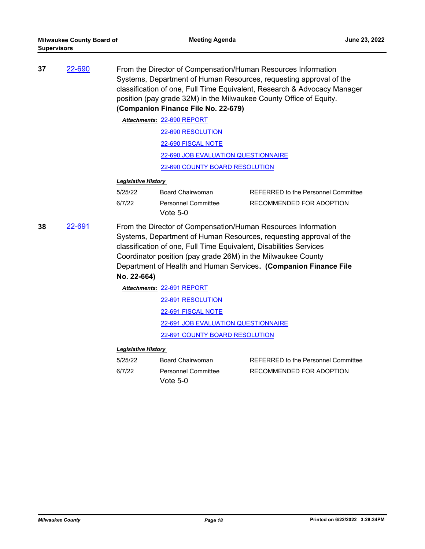| 37 | 22-690 | From the Director of Compensation/Human Resources Information<br>Systems, Department of Human Resources, requesting approval of the<br>classification of one, Full Time Equivalent, Research & Advocacy Manager<br>position (pay grade 32M) in the Milwaukee County Office of Equity.<br>(Companion Finance File No. 22-679) |                                                                                                                                                                                                                                                                                                                                                                                                                        |                                     |
|----|--------|------------------------------------------------------------------------------------------------------------------------------------------------------------------------------------------------------------------------------------------------------------------------------------------------------------------------------|------------------------------------------------------------------------------------------------------------------------------------------------------------------------------------------------------------------------------------------------------------------------------------------------------------------------------------------------------------------------------------------------------------------------|-------------------------------------|
|    |        |                                                                                                                                                                                                                                                                                                                              | Attachments: 22-690 REPORT                                                                                                                                                                                                                                                                                                                                                                                             |                                     |
|    |        |                                                                                                                                                                                                                                                                                                                              | 22-690 RESOLUTION                                                                                                                                                                                                                                                                                                                                                                                                      |                                     |
|    |        |                                                                                                                                                                                                                                                                                                                              | 22-690 FISCAL NOTE                                                                                                                                                                                                                                                                                                                                                                                                     |                                     |
|    |        |                                                                                                                                                                                                                                                                                                                              | 22-690 JOB EVALUATION QUESTIONNAIRE                                                                                                                                                                                                                                                                                                                                                                                    |                                     |
|    |        |                                                                                                                                                                                                                                                                                                                              | 22-690 COUNTY BOARD RESOLUTION                                                                                                                                                                                                                                                                                                                                                                                         |                                     |
|    |        | <b>Legislative History</b>                                                                                                                                                                                                                                                                                                   |                                                                                                                                                                                                                                                                                                                                                                                                                        |                                     |
|    |        | 5/25/22                                                                                                                                                                                                                                                                                                                      | Board Chairwoman                                                                                                                                                                                                                                                                                                                                                                                                       | REFERRED to the Personnel Committee |
|    |        | 6/7/22                                                                                                                                                                                                                                                                                                                       | Personnel Committee<br>Vote $5-0$                                                                                                                                                                                                                                                                                                                                                                                      | RECOMMENDED FOR ADOPTION            |
| 38 | 22-691 | No. 22-664)                                                                                                                                                                                                                                                                                                                  | From the Director of Compensation/Human Resources Information<br>Systems, Department of Human Resources, requesting approval of the<br>classification of one, Full Time Equivalent, Disabilities Services<br>Coordinator position (pay grade 26M) in the Milwaukee County<br>Department of Health and Human Services. (Companion Finance File<br>Attachments: 22-691 REPORT<br>22-691 RESOLUTION<br>22-691 FISCAL NOTE |                                     |

[22-691 JOB EVALUATION QUESTIONNAIRE](http://MilwaukeeCounty.legistar.com/gateway.aspx?M=F&ID=a59b54fb-f997-4fd3-aeae-7af3c2dff0c0.docx)

[22-691 COUNTY BOARD RESOLUTION](http://MilwaukeeCounty.legistar.com/gateway.aspx?M=F&ID=35dd564c-9814-40d5-8294-dacd0fa05f84.pdf)

| 5/25/22 | Board Chairwoman    | REFERRED to the Personnel Committee |  |
|---------|---------------------|-------------------------------------|--|
| 6/7/22  | Personnel Committee | RECOMMENDED FOR ADOPTION            |  |
|         | Vote $5-0$          |                                     |  |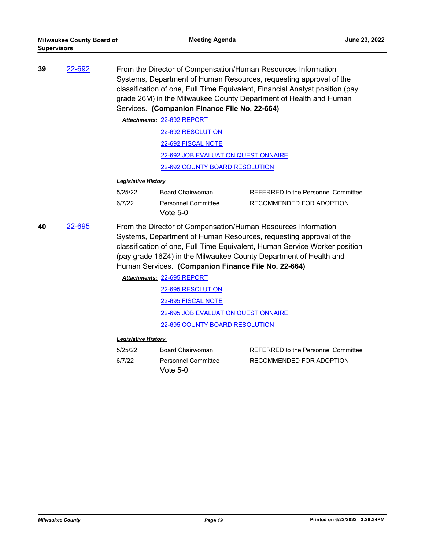| 39 | 22-692 | From the Director of Compensation/Human Resources Information<br>Systems, Department of Human Resources, requesting approval of the<br>classification of one, Full Time Equivalent, Financial Analyst position (pay<br>grade 26M) in the Milwaukee County Department of Health and Human<br>Services. (Companion Finance File No. 22-664) |                                                                                                                      |                                                                                                                                                                                                                       |
|----|--------|-------------------------------------------------------------------------------------------------------------------------------------------------------------------------------------------------------------------------------------------------------------------------------------------------------------------------------------------|----------------------------------------------------------------------------------------------------------------------|-----------------------------------------------------------------------------------------------------------------------------------------------------------------------------------------------------------------------|
|    |        |                                                                                                                                                                                                                                                                                                                                           | Attachments: 22-692 REPORT                                                                                           |                                                                                                                                                                                                                       |
|    |        |                                                                                                                                                                                                                                                                                                                                           | 22-692 RESOLUTION                                                                                                    |                                                                                                                                                                                                                       |
|    |        |                                                                                                                                                                                                                                                                                                                                           | 22-692 FISCAL NOTE                                                                                                   |                                                                                                                                                                                                                       |
|    |        |                                                                                                                                                                                                                                                                                                                                           | 22-692 JOB EVALUATION QUESTIONNAIRE                                                                                  |                                                                                                                                                                                                                       |
|    |        |                                                                                                                                                                                                                                                                                                                                           | 22-692 COUNTY BOARD RESOLUTION                                                                                       |                                                                                                                                                                                                                       |
|    |        | <b>Legislative History</b>                                                                                                                                                                                                                                                                                                                |                                                                                                                      |                                                                                                                                                                                                                       |
|    |        | 5/25/22                                                                                                                                                                                                                                                                                                                                   | Board Chairwoman                                                                                                     | REFERRED to the Personnel Committee                                                                                                                                                                                   |
|    |        | 6/7/22                                                                                                                                                                                                                                                                                                                                    | Personnel Committee<br>Vote $5-0$                                                                                    | RECOMMENDED FOR ADOPTION                                                                                                                                                                                              |
| 40 | 22-695 |                                                                                                                                                                                                                                                                                                                                           | From the Director of Compensation/Human Resources Information<br>Human Services. (Companion Finance File No. 22-664) | Systems, Department of Human Resources, requesting approval of the<br>classification of one, Full Time Equivalent, Human Service Worker position<br>(pay grade 16Z4) in the Milwaukee County Department of Health and |
|    |        |                                                                                                                                                                                                                                                                                                                                           | Attachments: 22-695 REPORT                                                                                           |                                                                                                                                                                                                                       |
|    |        |                                                                                                                                                                                                                                                                                                                                           | 22-695 RESOLUTION                                                                                                    |                                                                                                                                                                                                                       |
|    |        |                                                                                                                                                                                                                                                                                                                                           | 22-695 FISCAL NOTE                                                                                                   |                                                                                                                                                                                                                       |
|    |        |                                                                                                                                                                                                                                                                                                                                           | 22-695 JOB EVALUATION QUESTIONNAIRE                                                                                  |                                                                                                                                                                                                                       |
|    |        |                                                                                                                                                                                                                                                                                                                                           | <b>22-695 COUNTY BOARD RESOLUTION</b>                                                                                |                                                                                                                                                                                                                       |

| 5/25/22 | Board Chairwoman           | REFERRED to the Personnel Committee |
|---------|----------------------------|-------------------------------------|
| 6/7/22  | <b>Personnel Committee</b> | RECOMMENDED FOR ADOPTION            |
|         | Vote $5-0$                 |                                     |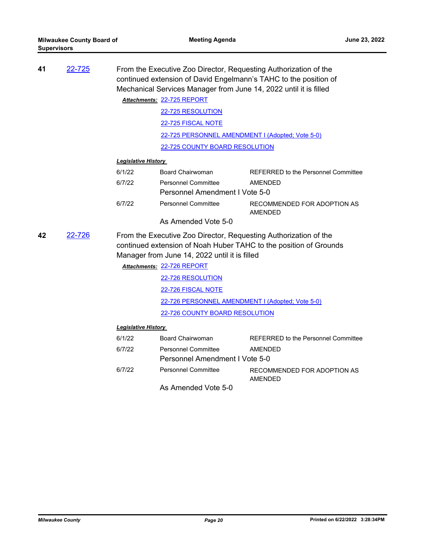| 41 | 22-725 | From the Executive Zoo Director, Requesting Authorization of the<br>continued extension of David Engelmann's TAHC to the position of<br>Mechanical Services Manager from June 14, 2022 until it is filled |                                                                                                                   |                                                                   |
|----|--------|-----------------------------------------------------------------------------------------------------------------------------------------------------------------------------------------------------------|-------------------------------------------------------------------------------------------------------------------|-------------------------------------------------------------------|
|    |        |                                                                                                                                                                                                           | Attachments: 22-725 REPORT                                                                                        |                                                                   |
|    |        |                                                                                                                                                                                                           | 22-725 RESOLUTION                                                                                                 |                                                                   |
|    |        |                                                                                                                                                                                                           | 22-725 FISCAL NOTE                                                                                                |                                                                   |
|    |        |                                                                                                                                                                                                           | 22-725 PERSONNEL AMENDMENT I (Adopted; Vote 5-0)                                                                  |                                                                   |
|    |        |                                                                                                                                                                                                           | 22-725 COUNTY BOARD RESOLUTION                                                                                    |                                                                   |
|    |        | <b>Legislative History</b>                                                                                                                                                                                |                                                                                                                   |                                                                   |
|    |        | 6/1/22                                                                                                                                                                                                    | <b>Board Chairwoman</b>                                                                                           | REFERRED to the Personnel Committee                               |
|    |        | 6/7/22                                                                                                                                                                                                    | Personnel Committee                                                                                               | <b>AMENDED</b>                                                    |
|    |        | Personnel Amendment I Vote 5-0                                                                                                                                                                            |                                                                                                                   |                                                                   |
|    |        | 6/7/22                                                                                                                                                                                                    | <b>Personnel Committee</b>                                                                                        | RECOMMENDED FOR ADOPTION AS<br><b>AMENDED</b>                     |
|    |        |                                                                                                                                                                                                           | As Amended Vote 5-0                                                                                               |                                                                   |
| 42 | 22-726 |                                                                                                                                                                                                           | From the Executive Zoo Director, Requesting Authorization of the<br>Manager from June 14, 2022 until it is filled | continued extension of Noah Huber TAHC to the position of Grounds |
|    |        |                                                                                                                                                                                                           | Attachments: 22-726 REPORT                                                                                        |                                                                   |
|    |        |                                                                                                                                                                                                           | 22-726 RESOLUTION                                                                                                 |                                                                   |
|    |        |                                                                                                                                                                                                           | 22-726 FISCAL NOTE                                                                                                |                                                                   |
|    |        |                                                                                                                                                                                                           | 22-726 PERSONNEL AMENDMENT I (Adopted; Vote 5-0)                                                                  |                                                                   |
|    |        |                                                                                                                                                                                                           | 22-726 COUNTY BOARD RESOLUTION                                                                                    |                                                                   |
|    |        | <b>Legislative History</b>                                                                                                                                                                                |                                                                                                                   |                                                                   |
|    |        | 6/1/22                                                                                                                                                                                                    | Board Chairwoman                                                                                                  | <b>REFERRED to the Personnel Committee</b>                        |
|    |        | 6/7/22                                                                                                                                                                                                    | <b>Personnel Committee</b>                                                                                        | AMENDED                                                           |
|    |        |                                                                                                                                                                                                           | Personnel Amendment I Vote 5-0                                                                                    |                                                                   |
|    |        | 6/7/22                                                                                                                                                                                                    | <b>Personnel Committee</b>                                                                                        | RECOMMENDED FOR ADOPTION AS<br><b>AMENDED</b>                     |
|    |        |                                                                                                                                                                                                           | As Amended Vote 5-0                                                                                               |                                                                   |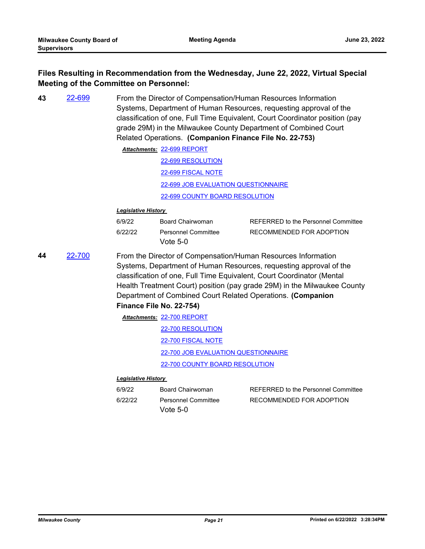### **Files Resulting in Recommendation from the Wednesday, June 22, 2022, Virtual Special Meeting of the Committee on Personnel:**

**43** [22-699](http://milwaukeecounty.legistar.com/gateway.aspx?m=l&id=/matter.aspx?key=12398) From the Director of Compensation/Human Resources Information Systems, Department of Human Resources, requesting approval of the classification of one, Full Time Equivalent, Court Coordinator position (pay grade 29M) in the Milwaukee County Department of Combined Court Related Operations. **(Companion Finance File No. 22-753)**

> [22-699 REPORT](http://MilwaukeeCounty.legistar.com/gateway.aspx?M=F&ID=e66aaf94-7b4f-4148-8d65-fe8275780dbd.pdf) *Attachments:* [22-699 RESOLUTION](http://MilwaukeeCounty.legistar.com/gateway.aspx?M=F&ID=f87b5d49-2476-4877-9ef9-4ac0ceaa4bf7.docx) [22-699 FISCAL NOTE](http://MilwaukeeCounty.legistar.com/gateway.aspx?M=F&ID=36003819-eca8-4713-9262-83a9bbe5f3e9.pdf) [22-699 JOB EVALUATION QUESTIONNAIRE](http://MilwaukeeCounty.legistar.com/gateway.aspx?M=F&ID=25bfbd99-db9c-4b59-a4b7-9f678999f7cd.doc)

> > [22-699 COUNTY BOARD RESOLUTION](http://MilwaukeeCounty.legistar.com/gateway.aspx?M=F&ID=920f8184-d6f7-4b38-887d-d2e9715f3337.pdf)

#### *Legislative History*

| 6/9/22  | Board Chairwoman                         | REFERRED to the Personnel Committee |
|---------|------------------------------------------|-------------------------------------|
| 6/22/22 | <b>Personnel Committee</b><br>Vote $5-0$ | RECOMMENDED FOR ADOPTION            |

**44** [22-700](http://milwaukeecounty.legistar.com/gateway.aspx?m=l&id=/matter.aspx?key=12399) From the Director of Compensation/Human Resources Information Systems, Department of Human Resources, requesting approval of the classification of one, Full Time Equivalent, Court Coordinator (Mental Health Treatment Court) position (pay grade 29M) in the Milwaukee County Department of Combined Court Related Operations. **(Companion** 

#### **Finance File No. 22-754)**

[22-700 REPORT](http://MilwaukeeCounty.legistar.com/gateway.aspx?M=F&ID=a35c2221-a5df-4421-81d3-4169c4515b1c.pdf) *Attachments:* [22-700 RESOLUTION](http://MilwaukeeCounty.legistar.com/gateway.aspx?M=F&ID=29d027db-649d-45b5-b1d1-fdaa503f7f63.docx) [22-700 FISCAL NOTE](http://MilwaukeeCounty.legistar.com/gateway.aspx?M=F&ID=ab271867-a839-4003-b0a4-a316a5365797.pdf) [22-700 JOB EVALUATION QUESTIONNAIRE](http://MilwaukeeCounty.legistar.com/gateway.aspx?M=F&ID=c68f90e6-52e1-4e02-8271-5bba653de9da.doc)

[22-700 COUNTY BOARD RESOLUTION](http://MilwaukeeCounty.legistar.com/gateway.aspx?M=F&ID=a2bec6f8-294f-4afb-80fa-5f7b3e0cbbaa.pdf)

| 6/9/22  | Board Chairwoman           | REFERRED to the Personnel Committee |
|---------|----------------------------|-------------------------------------|
| 6/22/22 | <b>Personnel Committee</b> | RECOMMENDED FOR ADOPTION            |
|         | Vote $5-0$                 |                                     |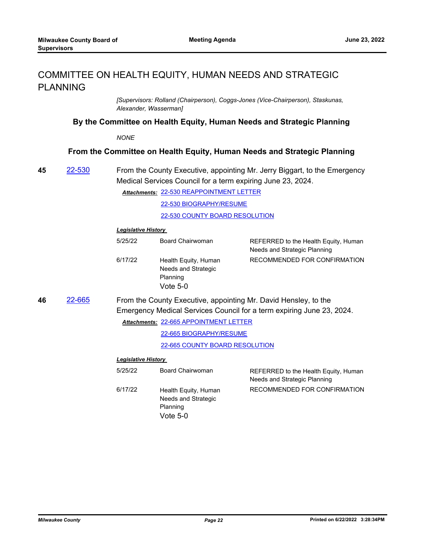# COMMITTEE ON HEALTH EQUITY, HUMAN NEEDS AND STRATEGIC PLANNING

*[Supervisors: Rolland (Chairperson), Coggs-Jones (Vice-Chairperson), Staskunas, Alexander, Wasserman]*

**By the Committee on Health Equity, Human Needs and Strategic Planning**

*NONE*

#### **From the Committee on Health Equity, Human Needs and Strategic Planning**

**45** [22-530](http://milwaukeecounty.legistar.com/gateway.aspx?m=l&id=/matter.aspx?key=12190) From the County Executive, appointing Mr. Jerry Biggart, to the Emergency Medical Services Council for a term expiring June 23, 2024.

> [22-530 REAPPOINTMENT LETTER](http://MilwaukeeCounty.legistar.com/gateway.aspx?M=F&ID=e1c081c6-b8c5-46a8-9283-c4043557515e.pdf) *Attachments:* [22-530 BIOGRAPHY/RESUME](http://MilwaukeeCounty.legistar.com/gateway.aspx?M=F&ID=be27215e-6d25-4bd9-91c9-4b9502cbe954.pdf) [22-530 COUNTY BOARD RESOLUTION](http://MilwaukeeCounty.legistar.com/gateway.aspx?M=F&ID=710191af-eb6c-4103-9958-8c26778360c5.pdf)

#### *Legislative History*

| 5/25/22 | <b>Board Chairwoman</b>                                             | REFERRED to the Health Equity, Human<br>Needs and Strategic Planning |
|---------|---------------------------------------------------------------------|----------------------------------------------------------------------|
| 6/17/22 | Health Equity, Human<br>Needs and Strategic<br>Planning<br>Vote 5-0 | RECOMMENDED FOR CONFIRMATION                                         |

**46** [22-665](http://milwaukeecounty.legistar.com/gateway.aspx?m=l&id=/matter.aspx?key=12363) From the County Executive, appointing Mr. David Hensley, to the Emergency Medical Services Council for a term expiring June 23, 2024.

[22-665 APPOINTMENT LETTER](http://MilwaukeeCounty.legistar.com/gateway.aspx?M=F&ID=129567fb-f8a2-44dc-8b95-c857e029c8d0.pdf) *Attachments:*

[22-665 BIOGRAPHY/RESUME](http://MilwaukeeCounty.legistar.com/gateway.aspx?M=F&ID=d4c99993-ebe3-4361-be6f-2bcf8768ec76.pdf)

[22-665 COUNTY BOARD RESOLUTION](http://MilwaukeeCounty.legistar.com/gateway.aspx?M=F&ID=6b598f89-0c5c-4ae8-8eea-6287e2e47498.pdf)

| 5/25/22 | <b>Board Chairwoman</b>                                             | REFERRED to the Health Equity, Human<br>Needs and Strategic Planning |
|---------|---------------------------------------------------------------------|----------------------------------------------------------------------|
| 6/17/22 | Health Equity, Human<br>Needs and Strategic<br>Planning<br>Vote 5-0 | RECOMMENDED FOR CONFIRMATION                                         |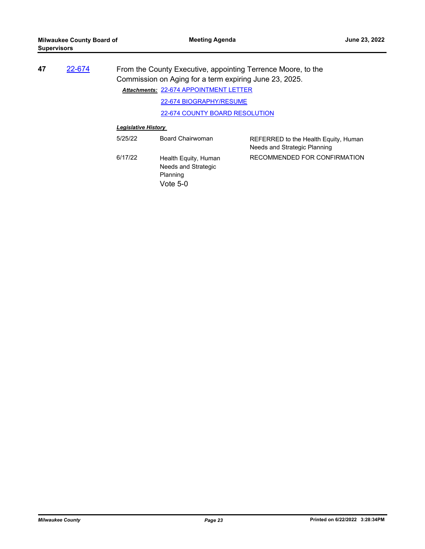| 47 | 22-674 |                            | From the County Executive, appointing Terrence Moore, to the<br>Commission on Aging for a term expiring June 23, 2025.<br>Attachments: 22-674 APPOINTMENT LETTER |                                                                      |  |
|----|--------|----------------------------|------------------------------------------------------------------------------------------------------------------------------------------------------------------|----------------------------------------------------------------------|--|
|    |        |                            | 22-674 BIOGRAPHY/RESUME                                                                                                                                          |                                                                      |  |
|    |        |                            | 22-674 COUNTY BOARD RESOLUTION                                                                                                                                   |                                                                      |  |
|    |        | <b>Legislative History</b> |                                                                                                                                                                  |                                                                      |  |
|    |        | 5/25/22                    | Board Chairwoman                                                                                                                                                 | REFERRED to the Health Equity, Human<br>Needs and Strategic Planning |  |
|    |        | 6/17/22                    | Health Equity, Human<br>Needs and Strategic<br>Planning                                                                                                          | RECOMMENDED FOR CONFIRMATION                                         |  |

Vote 5-0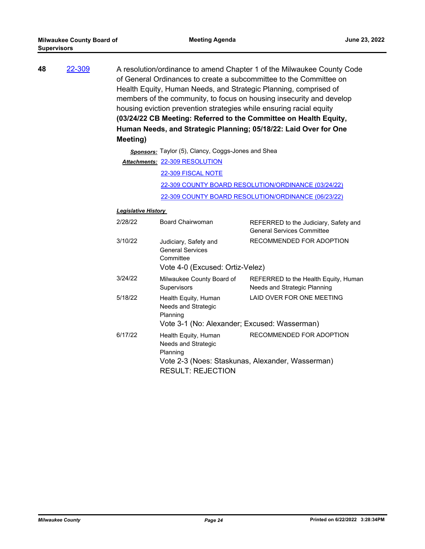| 48 | 22-309 | A resolution/ordinance to amend Chapter 1 of the Milwaukee County Code<br>of General Ordinances to create a subcommittee to the Committee on<br>Health Equity, Human Needs, and Strategic Planning, comprised of<br>members of the community, to focus on housing insecurity and develop<br>housing eviction prevention strategies while ensuring racial equity<br>(03/24/22 CB Meeting: Referred to the Committee on Health Equity,<br>Human Needs, and Strategic Planning; 05/18/22: Laid Over for One |                                                               |                                                                              |  |
|----|--------|----------------------------------------------------------------------------------------------------------------------------------------------------------------------------------------------------------------------------------------------------------------------------------------------------------------------------------------------------------------------------------------------------------------------------------------------------------------------------------------------------------|---------------------------------------------------------------|------------------------------------------------------------------------------|--|
|    |        | Meeting)                                                                                                                                                                                                                                                                                                                                                                                                                                                                                                 | Sponsors: Taylor (5), Clancy, Coggs-Jones and Shea            |                                                                              |  |
|    |        |                                                                                                                                                                                                                                                                                                                                                                                                                                                                                                          | Attachments: 22-309 RESOLUTION                                |                                                                              |  |
|    |        |                                                                                                                                                                                                                                                                                                                                                                                                                                                                                                          | 22-309 FISCAL NOTE                                            |                                                                              |  |
|    |        |                                                                                                                                                                                                                                                                                                                                                                                                                                                                                                          |                                                               | 22-309 COUNTY BOARD RESOLUTION/ORDINANCE (03/24/22)                          |  |
|    |        |                                                                                                                                                                                                                                                                                                                                                                                                                                                                                                          |                                                               | 22-309 COUNTY BOARD RESOLUTION/ORDINANCE (06/23/22)                          |  |
|    |        |                                                                                                                                                                                                                                                                                                                                                                                                                                                                                                          |                                                               |                                                                              |  |
|    |        | <b>Legislative History</b>                                                                                                                                                                                                                                                                                                                                                                                                                                                                               |                                                               |                                                                              |  |
|    |        | 2/28/22                                                                                                                                                                                                                                                                                                                                                                                                                                                                                                  | <b>Board Chairwoman</b>                                       | REFERRED to the Judiciary, Safety and<br><b>General Services Committee</b>   |  |
|    |        | 3/10/22                                                                                                                                                                                                                                                                                                                                                                                                                                                                                                  | Judiciary, Safety and<br><b>General Services</b><br>Committee | RECOMMENDED FOR ADOPTION                                                     |  |
|    |        |                                                                                                                                                                                                                                                                                                                                                                                                                                                                                                          | Vote 4-0 (Excused: Ortiz-Velez)                               |                                                                              |  |
|    |        | 3/24/22                                                                                                                                                                                                                                                                                                                                                                                                                                                                                                  | Milwaukee County Board of<br>Supervisors                      | REFERRED to the Health Equity, Human<br>Needs and Strategic Planning         |  |
|    |        | 5/18/22                                                                                                                                                                                                                                                                                                                                                                                                                                                                                                  | Health Equity, Human<br>Needs and Strategic<br>Planning       | LAID OVER FOR ONE MEETING                                                    |  |
|    |        |                                                                                                                                                                                                                                                                                                                                                                                                                                                                                                          | Vote 3-1 (No: Alexander; Excused: Wasserman)                  |                                                                              |  |
|    |        | 6/17/22                                                                                                                                                                                                                                                                                                                                                                                                                                                                                                  | Health Equity, Human<br>Needs and Strategic<br>Planning       | RECOMMENDED FOR ADOPTION<br>Vote 2-3 (Noes: Staskunas, Alexander, Wasserman) |  |
|    |        |                                                                                                                                                                                                                                                                                                                                                                                                                                                                                                          | <b>RESULT: REJECTION</b>                                      |                                                                              |  |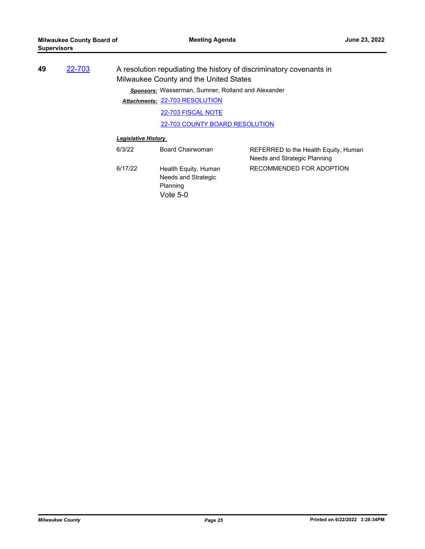| 49 | 22-703 |                            | Milwaukee County and the United States             | A resolution repudiating the history of discriminatory covenants in  |
|----|--------|----------------------------|----------------------------------------------------|----------------------------------------------------------------------|
|    |        |                            | Sponsors: Wasserman, Sumner, Rolland and Alexander |                                                                      |
|    |        |                            | Attachments: 22-703 RESOLUTION                     |                                                                      |
|    |        |                            | 22-703 FISCAL NOTE                                 |                                                                      |
|    |        |                            | 22-703 COUNTY BOARD RESOLUTION                     |                                                                      |
|    |        | <b>Legislative History</b> |                                                    |                                                                      |
|    |        | 6/3/22                     | Board Chairwoman                                   | REFERRED to the Health Equity, Human<br>Needs and Strategic Planning |
|    |        | 6/17/22                    | Health Equity, Human<br>Needs and Strategic        | RECOMMENDED FOR ADOPTION                                             |

Planning

Vote 5-0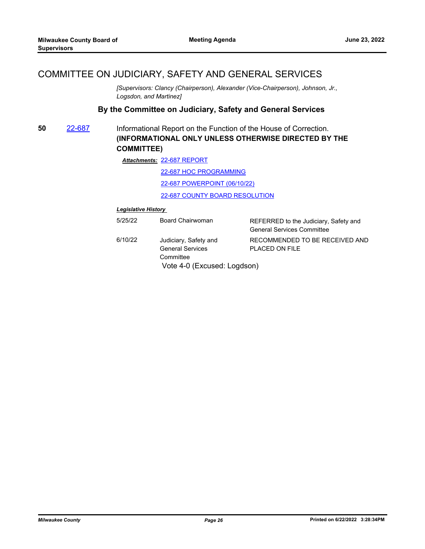# COMMITTEE ON JUDICIARY, SAFETY AND GENERAL SERVICES

*[Supervisors: Clancy (Chairperson), Alexander (Vice-Chairperson), Johnson, Jr., Logsdon, and Martinez]*

### **By the Committee on Judiciary, Safety and General Services**

**50** [22-687](http://milwaukeecounty.legistar.com/gateway.aspx?m=l&id=/matter.aspx?key=12386) Informational Report on the Function of the House of Correction. **(INFORMATIONAL ONLY UNLESS OTHERWISE DIRECTED BY THE COMMITTEE)**

[22-687 REPORT](http://MilwaukeeCounty.legistar.com/gateway.aspx?M=F&ID=1eb16748-713c-4e04-8ff8-741d4c44c376.pdf) *Attachments:*

[22-687 HOC PROGRAMMING](http://MilwaukeeCounty.legistar.com/gateway.aspx?M=F&ID=70a52f10-f198-4394-bffc-7c9535efd03f.pdf)

[22-687 POWERPOINT \(06/10/22\)](http://MilwaukeeCounty.legistar.com/gateway.aspx?M=F&ID=16de776b-36c3-43df-81d9-3643009f377c.pdf)

[22-687 COUNTY BOARD RESOLUTION](http://MilwaukeeCounty.legistar.com/gateway.aspx?M=F&ID=b7948d04-9c32-4a7d-afc7-088fd085cb7a.pdf)

| 5/25/22 | Board Chairwoman                                                                             | REFERRED to the Judiciary, Safety and<br><b>General Services Committee</b> |
|---------|----------------------------------------------------------------------------------------------|----------------------------------------------------------------------------|
| 6/10/22 | Judiciary, Safety and<br><b>General Services</b><br>Committee<br>Vote 4-0 (Excused: Logdson) | RECOMMENDED TO BE RECEIVED AND<br>PLACED ON FILE                           |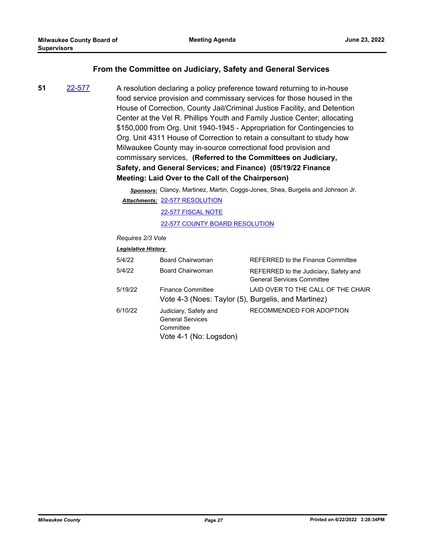#### **From the Committee on Judiciary, Safety and General Services**

**51** [22-577](http://milwaukeecounty.legistar.com/gateway.aspx?m=l&id=/matter.aspx?key=12237) A resolution declaring a policy preference toward returning to in-house food service provision and commissary services for those housed in the House of Correction, County Jail/Criminal Justice Facility, and Detention Center at the Vel R. Phillips Youth and Family Justice Center; allocating \$150,000 from Org. Unit 1940-1945 - Appropriation for Contingencies to Org. Unit 4311 House of Correction to retain a consultant to study how Milwaukee County may in-source correctional food provision and commissary services, **(Referred to the Committees on Judiciary, Safety, and General Services; and Finance) (05/19/22 Finance Meeting: Laid Over to the Call of the Chairperson)**

> *Sponsors:* Clancy, Martinez, Martin, Coggs-Jones, Shea, Burgelis and Johnson Jr. [22-577 RESOLUTION](http://MilwaukeeCounty.legistar.com/gateway.aspx?M=F&ID=64860732-bf08-46cb-8496-f08187f6f35d.docx) *Attachments:*

> > [22-577 FISCAL NOTE](http://MilwaukeeCounty.legistar.com/gateway.aspx?M=F&ID=b4d503b9-e5fc-4183-b826-7aaef164135c.pdf)

[22-577 COUNTY BOARD RESOLUTION](http://MilwaukeeCounty.legistar.com/gateway.aspx?M=F&ID=fa3b66f2-c4b1-4145-8d24-461b6b09d2ff.pdf)

*Requires 2/3 Vote*

| 5/4/22  | Board Chairwoman                                                                        | REFERRED to the Finance Committee                                          |
|---------|-----------------------------------------------------------------------------------------|----------------------------------------------------------------------------|
| 5/4/22  | Board Chairwoman                                                                        | REFERRED to the Judiciary, Safety and<br><b>General Services Committee</b> |
| 5/19/22 | <b>Finance Committee</b><br>Vote 4-3 (Noes: Taylor (5), Burgelis, and Martinez)         | LAID OVER TO THE CALL OF THE CHAIR                                         |
| 6/10/22 | Judiciary, Safety and<br><b>General Services</b><br>Committee<br>Vote 4-1 (No: Logsdon) | RECOMMENDED FOR ADOPTION                                                   |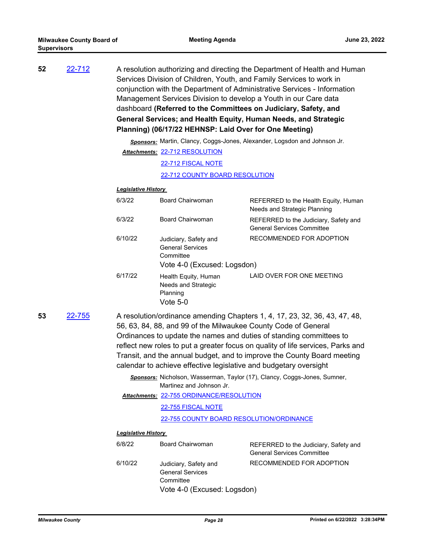| 52 | 22-712 | A resolution authorizing and directing the Department of Health and Human<br>Services Division of Children, Youth, and Family Services to work in<br>conjunction with the Department of Administrative Services - Information<br>Management Services Division to develop a Youth in our Care data<br>dashboard (Referred to the Committees on Judiciary, Safety, and<br>General Services; and Health Equity, Human Needs, and Strategic<br>Planning) (06/17/22 HEHNSP: Laid Over for One Meeting) |
|----|--------|---------------------------------------------------------------------------------------------------------------------------------------------------------------------------------------------------------------------------------------------------------------------------------------------------------------------------------------------------------------------------------------------------------------------------------------------------------------------------------------------------|
|    |        | Sponsors: Martin, Clancy, Coggs-Jones, Alexander, Logsdon and Johnson Jr.                                                                                                                                                                                                                                                                                                                                                                                                                         |
|    |        | Attachments: 22-712 RESOLUTION                                                                                                                                                                                                                                                                                                                                                                                                                                                                    |
|    |        | 22-712 FISCAL NOTE                                                                                                                                                                                                                                                                                                                                                                                                                                                                                |
|    |        | 22-712 COUNTY BOARD RESOLUTION                                                                                                                                                                                                                                                                                                                                                                                                                                                                    |

## *Legislative History*

| 6/3/22  | <b>Board Chairwoman</b>                                                                      | REFERRED to the Health Equity, Human<br>Needs and Strategic Planning       |
|---------|----------------------------------------------------------------------------------------------|----------------------------------------------------------------------------|
| 6/3/22  | <b>Board Chairwoman</b>                                                                      | REFERRED to the Judiciary, Safety and<br><b>General Services Committee</b> |
| 6/10/22 | Judiciary, Safety and<br><b>General Services</b><br>Committee<br>Vote 4-0 (Excused: Logsdon) | RECOMMENDED FOR ADOPTION                                                   |
| 6/17/22 | Health Equity, Human<br>Needs and Strategic<br>Planning<br>Vote 5-0                          | LAID OVER FOR ONE MEETING                                                  |

- **53** [22-755](http://milwaukeecounty.legistar.com/gateway.aspx?m=l&id=/matter.aspx?key=12463) A resolution/ordinance amending Chapters 1, 4, 17, 23, 32, 36, 43, 47, 48, 56, 63, 84, 88, and 99 of the Milwaukee County Code of General Ordinances to update the names and duties of standing committees to reflect new roles to put a greater focus on quality of life services, Parks and Transit, and the annual budget, and to improve the County Board meeting calendar to achieve effective legislative and budgetary oversight
	- *Sponsors:* Nicholson, Wasserman, Taylor (17), Clancy, Coggs-Jones, Sumner, Martinez and Johnson Jr.

[22-755 ORDINANCE/RESOLUTION](http://MilwaukeeCounty.legistar.com/gateway.aspx?M=F&ID=246fe31c-0c21-47cc-b7d0-16946bcac4ce.docx) *Attachments:*

[22-755 FISCAL NOTE](http://MilwaukeeCounty.legistar.com/gateway.aspx?M=F&ID=e16e02dd-9066-4f28-a956-b3219eb96afc.pdf)

[22-755 COUNTY BOARD RESOLUTION/ORDINANCE](http://MilwaukeeCounty.legistar.com/gateway.aspx?M=F&ID=9b9ad3b5-1511-4a09-9de7-cf808e14feb5.pdf)

| 6/8/22  | Board Chairwoman                                                                             | REFERRED to the Judiciary, Safety and<br><b>General Services Committee</b> |
|---------|----------------------------------------------------------------------------------------------|----------------------------------------------------------------------------|
| 6/10/22 | Judiciary, Safety and<br><b>General Services</b><br>Committee<br>Vote 4-0 (Excused: Logsdon) | RECOMMENDED FOR ADOPTION                                                   |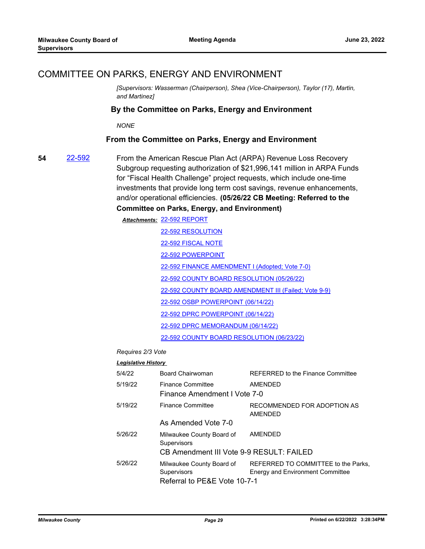### COMMITTEE ON PARKS, ENERGY AND ENVIRONMENT

*[Supervisors: Wasserman (Chairperson), Shea (Vice-Chairperson), Taylor (17), Martin, and Martinez]*

#### **By the Committee on Parks, Energy and Environment**

*NONE*

#### **From the Committee on Parks, Energy and Environment**

**54** [22-592](http://milwaukeecounty.legistar.com/gateway.aspx?m=l&id=/matter.aspx?key=12252) From the American Rescue Plan Act (ARPA) Revenue Loss Recovery Subgroup requesting authorization of \$21,996,141 million in ARPA Funds for "Fiscal Health Challenge" project requests, which include one-time investments that provide long term cost savings, revenue enhancements, and/or operational efficiencies. **(05/26/22 CB Meeting: Referred to the Committee on Parks, Energy, and Environment)**

> [22-592 REPORT](http://MilwaukeeCounty.legistar.com/gateway.aspx?M=F&ID=49a9ec05-8b0b-4441-b3a5-34a04f6ac206.dotx) *Attachments:* [22-592 RESOLUTION](http://MilwaukeeCounty.legistar.com/gateway.aspx?M=F&ID=a5baeadb-d911-4c46-b296-917e3643f79b.docx) [22-592 FISCAL NOTE](http://MilwaukeeCounty.legistar.com/gateway.aspx?M=F&ID=64a975b8-d018-403c-9974-10d9c532646c.doc) [22-592 POWERPOINT](http://MilwaukeeCounty.legistar.com/gateway.aspx?M=F&ID=fa05683c-5b4a-4b1f-8b55-8d5719ae8270.pdf) [22-592 FINANCE AMENDMENT I \(Adopted; Vote 7-0\)](http://MilwaukeeCounty.legistar.com/gateway.aspx?M=F&ID=b19c82ef-d225-464c-8ed1-5d00b4ea4674.docx) [22-592 COUNTY BOARD RESOLUTION \(05/26/22\)](http://MilwaukeeCounty.legistar.com/gateway.aspx?M=F&ID=6692412a-7606-4785-8b72-4e149d8a3dd4.pdf) [22-592 COUNTY BOARD AMENDMENT III \(Failed; Vote 9-9\)](http://MilwaukeeCounty.legistar.com/gateway.aspx?M=F&ID=822dbc06-71ff-4403-9baf-e00c8019eeb4.docx) [22-592 OSBP POWERPOINT \(06/14/22\)](http://MilwaukeeCounty.legistar.com/gateway.aspx?M=F&ID=9c937dae-af3e-4380-8643-7684a16a1ab2.pptx) [22-592 DPRC POWERPOINT \(06/14/22\)](http://MilwaukeeCounty.legistar.com/gateway.aspx?M=F&ID=73525335-2ddb-44c7-993f-d4437b6c27b2.pptx) [22-592 DPRC MEMORANDUM \(06/14/22\)](http://MilwaukeeCounty.legistar.com/gateway.aspx?M=F&ID=337263fd-da95-44b5-abb9-7aef68b09b45.pdf) [22-592 COUNTY BOARD RESOLUTION \(06/23/22\)](http://MilwaukeeCounty.legistar.com/gateway.aspx?M=F&ID=27402f4e-7b69-4fbc-920c-32fed79ef84a.pdf)

*Requires 2/3 Vote*

| 5/4/22  | Board Chairwoman                                                         | <b>REFERRED to the Finance Committee</b>                                       |
|---------|--------------------------------------------------------------------------|--------------------------------------------------------------------------------|
| 5/19/22 | <b>Finance Committee</b>                                                 | AMENDED                                                                        |
|         | Finance Amendment I Vote 7-0                                             |                                                                                |
| 5/19/22 | <b>Finance Committee</b>                                                 | RECOMMENDED FOR ADOPTION AS<br>AMENDED                                         |
|         | As Amended Vote 7-0                                                      |                                                                                |
| 5/26/22 | Milwaukee County Board of<br>Supervisors                                 | <b>AMENDED</b>                                                                 |
|         | CB Amendment III Vote 9-9 RESULT: FAILED                                 |                                                                                |
| 5/26/22 | Milwaukee County Board of<br>Supervisors<br>Referral to PE&E Vote 10-7-1 | REFERRED TO COMMITTEE to the Parks.<br><b>Energy and Environment Committee</b> |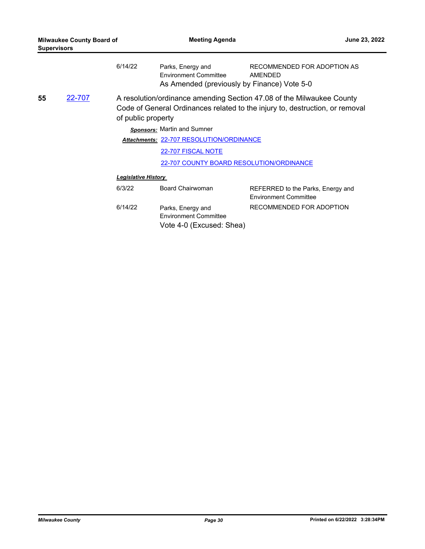| <b>Milwaukee County Board of</b><br><b>Supervisors</b> |                                                                                                                                                                                              | <b>Meeting Agenda</b>                    |                                                                               | June 23, 2022                                                                         |  |
|--------------------------------------------------------|----------------------------------------------------------------------------------------------------------------------------------------------------------------------------------------------|------------------------------------------|-------------------------------------------------------------------------------|---------------------------------------------------------------------------------------|--|
|                                                        |                                                                                                                                                                                              | 6/14/22                                  | Parks, Energy and<br><b>Environment Committee</b>                             | RECOMMENDED FOR ADOPTION AS<br>AMENDED<br>As Amended (previously by Finance) Vote 5-0 |  |
| 55                                                     | <u>22-707</u><br>A resolution/ordinance amending Section 47.08 of the Milwaukee County<br>Code of General Ordinances related to the injury to, destruction, or removal<br>of public property |                                          |                                                                               |                                                                                       |  |
|                                                        |                                                                                                                                                                                              | <b>Sponsors: Martin and Sumner</b>       |                                                                               |                                                                                       |  |
|                                                        |                                                                                                                                                                                              | Attachments: 22-707 RESOLUTION/ORDINANCE |                                                                               |                                                                                       |  |
|                                                        |                                                                                                                                                                                              |                                          | 22-707 FISCAL NOTE                                                            |                                                                                       |  |
|                                                        |                                                                                                                                                                                              | 22-707 COUNTY BOARD RESOLUTION/ORDINANCE |                                                                               |                                                                                       |  |
|                                                        |                                                                                                                                                                                              | <b>Legislative History</b>               |                                                                               |                                                                                       |  |
|                                                        |                                                                                                                                                                                              | 6/3/22                                   | <b>Board Chairwoman</b>                                                       | REFERRED to the Parks, Energy and<br><b>Environment Committee</b>                     |  |
|                                                        |                                                                                                                                                                                              | 6/14/22                                  | Parks, Energy and<br><b>Environment Committee</b><br>Vote 4-0 (Excused: Shea) | RECOMMENDED FOR ADOPTION                                                              |  |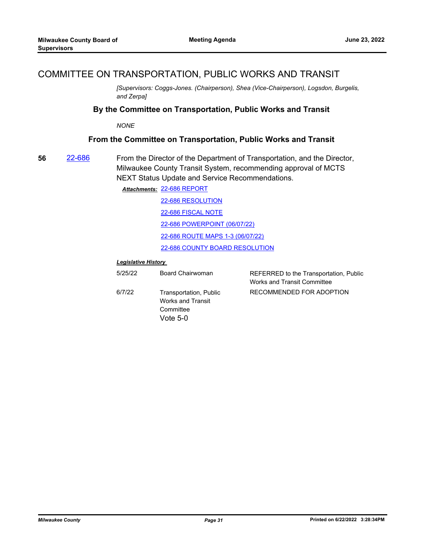### COMMITTEE ON TRANSPORTATION, PUBLIC WORKS AND TRANSIT

*[Supervisors: Coggs-Jones. (Chairperson), Shea (Vice-Chairperson), Logsdon, Burgelis, and Zerpa]*

#### **By the Committee on Transportation, Public Works and Transit**

*NONE*

#### **From the Committee on Transportation, Public Works and Transit**

**56** [22-686](http://milwaukeecounty.legistar.com/gateway.aspx?m=l&id=/matter.aspx?key=12385) From the Director of the Department of Transportation, and the Director, Milwaukee County Transit System, recommending approval of MCTS NEXT Status Update and Service Recommendations.

[22-686 REPORT](http://MilwaukeeCounty.legistar.com/gateway.aspx?M=F&ID=9cdb1048-32ef-416e-b83f-af09553a8378.pdf) *Attachments:*

[22-686 RESOLUTION](http://MilwaukeeCounty.legistar.com/gateway.aspx?M=F&ID=7d2e99c0-3111-4a8e-8492-d18ac5477e8d.docx) [22-686 FISCAL NOTE](http://MilwaukeeCounty.legistar.com/gateway.aspx?M=F&ID=cf315c42-e601-44db-b203-eab1251c7353.pdf) [22-686 POWERPOINT \(06/07/22\)](http://MilwaukeeCounty.legistar.com/gateway.aspx?M=F&ID=941cb42b-a302-4d4c-850b-02965f820885.pdf) [22-686 ROUTE MAPS 1-3 \(06/07/22\)](http://MilwaukeeCounty.legistar.com/gateway.aspx?M=F&ID=dfce415a-356f-4406-baf3-bb4a5483608b.pdf) [22-686 COUNTY BOARD RESOLUTION](http://MilwaukeeCounty.legistar.com/gateway.aspx?M=F&ID=30abc73d-9ca5-4611-8bf4-71ccfa4dd4cb.pdf)

| 5/25/22 | Board Chairwoman                                                       | REFERRED to the Transportation, Public<br><b>Works and Transit Committee</b> |
|---------|------------------------------------------------------------------------|------------------------------------------------------------------------------|
| 6/7/22  | Transportation, Public<br>Works and Transit<br>Committee<br>Vote $5-0$ | RECOMMENDED FOR ADOPTION                                                     |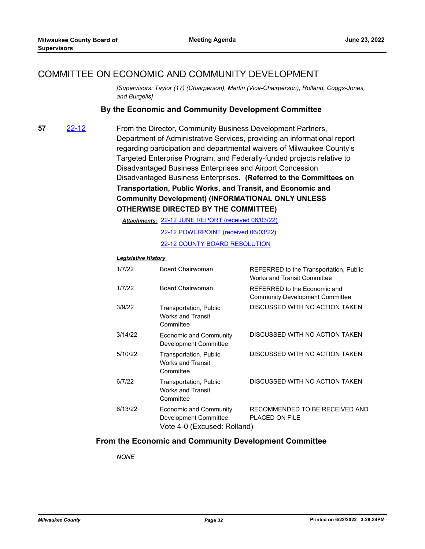# COMMITTEE ON ECONOMIC AND COMMUNITY DEVELOPMENT

*[Supervisors: Taylor (17) (Chairperson), Martin (Vice-Chairperson), Rolland, Coggs-Jones, and Burgelis]*

### **By the Economic and Community Development Committee**

**57** [22-12](http://milwaukeecounty.legistar.com/gateway.aspx?m=l&id=/matter.aspx?key=11834) From the Director, Community Business Development Partners, Department of Administrative Services, providing an informational report regarding participation and departmental waivers of Milwaukee County's Targeted Enterprise Program, and Federally-funded projects relative to Disadvantaged Business Enterprises and Airport Concession Disadvantaged Business Enterprises. **(Referred to the Committees on Transportation, Public Works, and Transit, and Economic and Community Development) (INFORMATIONAL ONLY UNLESS OTHERWISE DIRECTED BY THE COMMITTEE)**

[22-12 JUNE REPORT \(received 06/03/22\)](http://MilwaukeeCounty.legistar.com/gateway.aspx?M=F&ID=d8454d13-1170-462d-8847-cef1ce296252.pdf) *Attachments:*

[22-12 POWERPOINT \(received 06/03/22\)](http://MilwaukeeCounty.legistar.com/gateway.aspx?M=F&ID=0d5a6e75-ff8f-41ce-8fc9-594de12676b7.pdf) [22-12 COUNTY BOARD RESOLUTION](http://MilwaukeeCounty.legistar.com/gateway.aspx?M=F&ID=9288d12b-ce17-4cdc-ba89-c2b59e0eac90.pdf)

#### *Legislative History*

| 1/7/22  | Board Chairwoman                                                               | REFERRED to the Transportation, Public<br>Works and Transit Committee  |
|---------|--------------------------------------------------------------------------------|------------------------------------------------------------------------|
| 1/7/22  | Board Chairwoman                                                               | REFERRED to the Economic and<br><b>Community Development Committee</b> |
| 3/9/22  | Transportation, Public<br><b>Works and Transit</b><br>Committee                | DISCUSSED WITH NO ACTION TAKEN                                         |
| 3/14/22 | <b>Economic and Community</b><br>Development Committee                         | DISCUSSED WITH NO ACTION TAKEN                                         |
| 5/10/22 | Transportation, Public<br><b>Works and Transit</b><br>Committee                | DISCUSSED WITH NO ACTION TAKEN                                         |
| 6/7/22  | Transportation, Public<br><b>Works and Transit</b><br>Committee                | DISCUSSED WITH NO ACTION TAKEN                                         |
| 6/13/22 | Economic and Community<br>Development Committee<br>Vote 4-0 (Excused: Rolland) | RECOMMENDED TO BE RECEIVED AND<br><b>PLACED ON FILE</b>                |

### **From the Economic and Community Development Committee**

*NONE*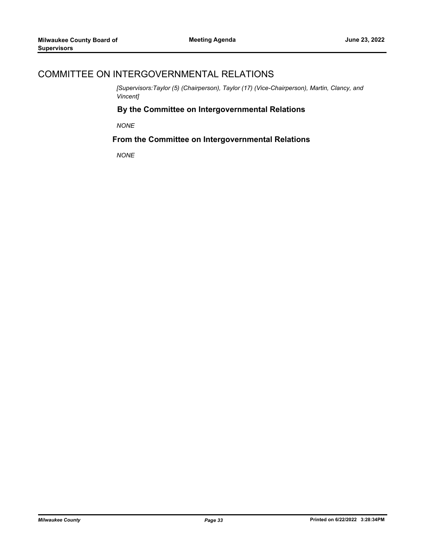# COMMITTEE ON INTERGOVERNMENTAL RELATIONS

*[Supervisors:Taylor (5) (Chairperson), Taylor (17) (Vice-Chairperson), Martin, Clancy, and Vincent]*

### **By the Committee on Intergovernmental Relations**

*NONE*

### **From the Committee on Intergovernmental Relations**

*NONE*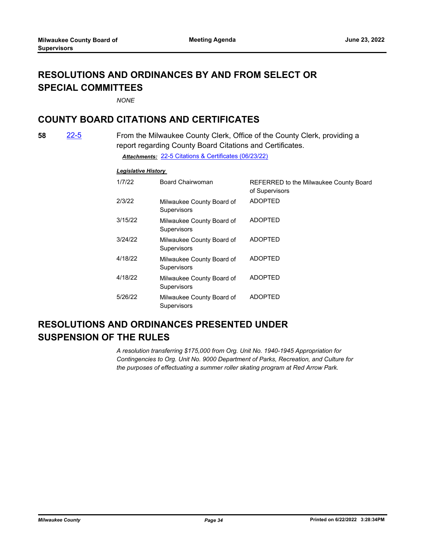# **RESOLUTIONS AND ORDINANCES BY AND FROM SELECT OR SPECIAL COMMITTEES**

*NONE*

# **COUNTY BOARD CITATIONS AND CERTIFICATES**

**58** [22-5](http://milwaukeecounty.legistar.com/gateway.aspx?m=l&id=/matter.aspx?key=11827) From the Milwaukee County Clerk, Office of the County Clerk, providing a report regarding County Board Citations and Certificates. *Attachments:* [22-5 Citations & Certificates \(06/23/22\)](http://MilwaukeeCounty.legistar.com/gateway.aspx?M=F&ID=ff0a6a31-60b6-459d-a85e-500706982dfa.pdf)

#### *Legislative History*

| 1/7/22  | <b>Board Chairwoman</b>                  | REFERRED to the Milwaukee County Board<br>of Supervisors |
|---------|------------------------------------------|----------------------------------------------------------|
| 2/3/22  | Milwaukee County Board of<br>Supervisors | <b>ADOPTED</b>                                           |
| 3/15/22 | Milwaukee County Board of<br>Supervisors | <b>ADOPTED</b>                                           |
| 3/24/22 | Milwaukee County Board of<br>Supervisors | <b>ADOPTED</b>                                           |
| 4/18/22 | Milwaukee County Board of<br>Supervisors | <b>ADOPTED</b>                                           |
| 4/18/22 | Milwaukee County Board of<br>Supervisors | <b>ADOPTED</b>                                           |
| 5/26/22 | Milwaukee County Board of<br>Supervisors | <b>ADOPTED</b>                                           |

# **RESOLUTIONS AND ORDINANCES PRESENTED UNDER SUSPENSION OF THE RULES**

*A resolution transferring \$175,000 from Org. Unit No. 1940-1945 Appropriation for Contingencies to Org. Unit No. 9000 Department of Parks, Recreation, and Culture for the purposes of effectuating a summer roller skating program at Red Arrow Park.*